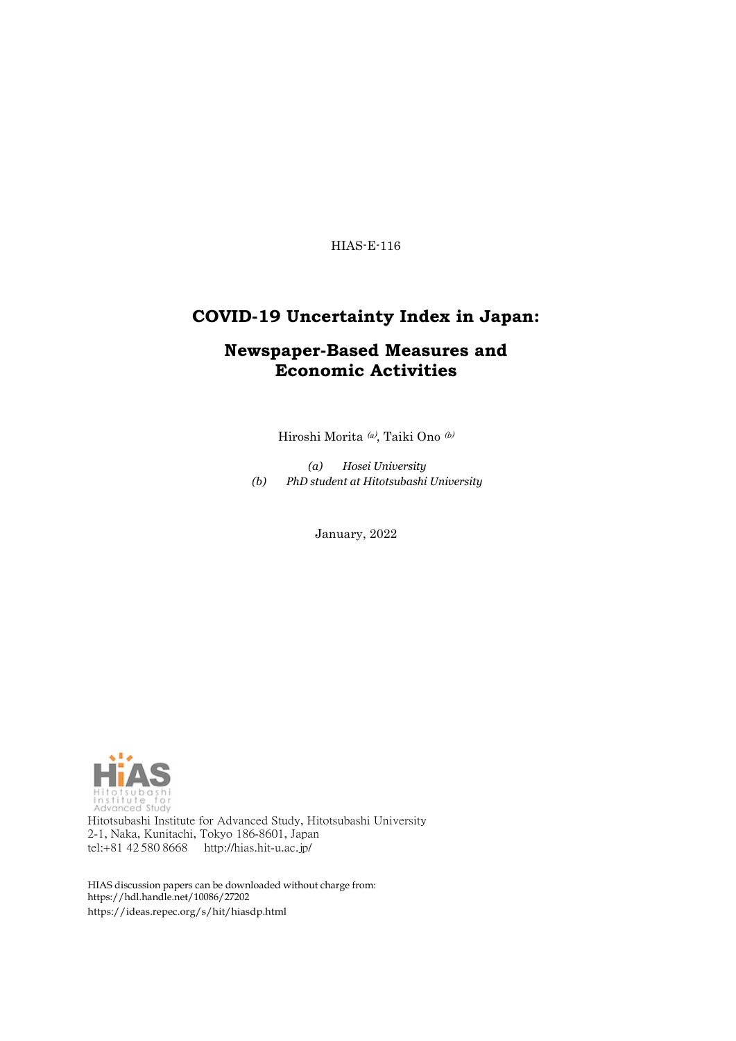HIAS-E-116

### **COVID-19 Uncertainty Index in Japan:**

### **Newspaper-Based Measures and Economic Activities**

Hiroshi Morita $\,^{(a)}$ Taiki Ono $\,^{(b)}$ 

*(a) Hosei University (b) PhD student at Hitotsubashi University*

January, 2022



Hitotsubashi Institute for Advanced Study, Hitotsubashi University 2-1, Naka, Kunitachi, Tokyo 186-8601, Japan tel:+81 42 580 8668 <http://hias.hit-u.ac.jp/>

HIAS discussion papers can be downloaded without charge from: [https://hdl.handle.net/10086/27202](http://hdl.handle.net/10086/27202) https://ideas.repec.org/s/hit/hiasdp.html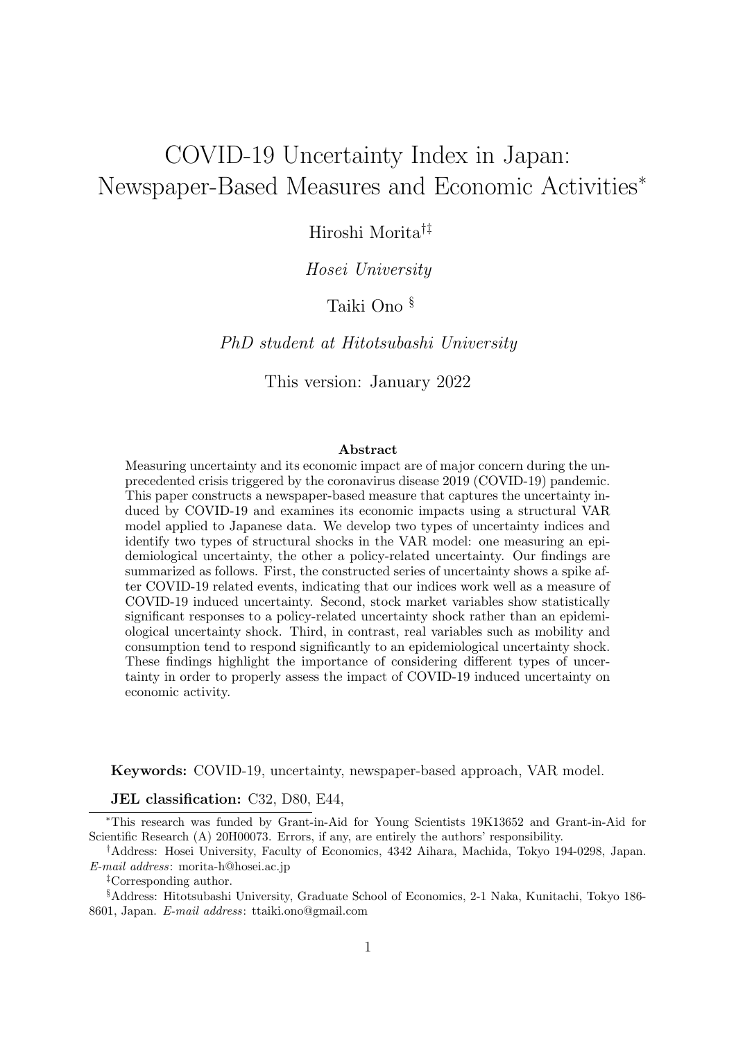# COVID-19 Uncertainty Index in Japan: Newspaper-Based Measures and Economic Activities<sup>∗</sup>

Hiroshi Morita†‡

### *Hosei University*

### Taiki Ono §

*PhD student at Hitotsubashi University*

This version: January 2022

#### **Abstract**

Measuring uncertainty and its economic impact are of major concern during the unprecedented crisis triggered by the coronavirus disease 2019 (COVID-19) pandemic. This paper constructs a newspaper-based measure that captures the uncertainty induced by COVID-19 and examines its economic impacts using a structural VAR model applied to Japanese data. We develop two types of uncertainty indices and identify two types of structural shocks in the VAR model: one measuring an epidemiological uncertainty, the other a policy-related uncertainty. Our findings are summarized as follows. First, the constructed series of uncertainty shows a spike after COVID-19 related events, indicating that our indices work well as a measure of COVID-19 induced uncertainty. Second, stock market variables show statistically significant responses to a policy-related uncertainty shock rather than an epidemiological uncertainty shock. Third, in contrast, real variables such as mobility and consumption tend to respond significantly to an epidemiological uncertainty shock. These findings highlight the importance of considering different types of uncertainty in order to properly assess the impact of COVID-19 induced uncertainty on economic activity.

**Keywords:** COVID-19, uncertainty, newspaper-based approach, VAR model.

#### **JEL classification:** C32, D80, E44,

<sup>∗</sup>This research was funded by Grant-in-Aid for Young Scientists 19K13652 and Grant-in-Aid for Scientific Research (A) 20H00073. Errors, if any, are entirely the authors' responsibility.

†Address: Hosei University, Faculty of Economics, 4342 Aihara, Machida, Tokyo 194-0298, Japan. *E-mail address*: morita-h@hosei.ac.jp

‡Corresponding author.

§Address: Hitotsubashi University, Graduate School of Economics, 2-1 Naka, Kunitachi, Tokyo 186- 8601, Japan. *E-mail address*: ttaiki.ono@gmail.com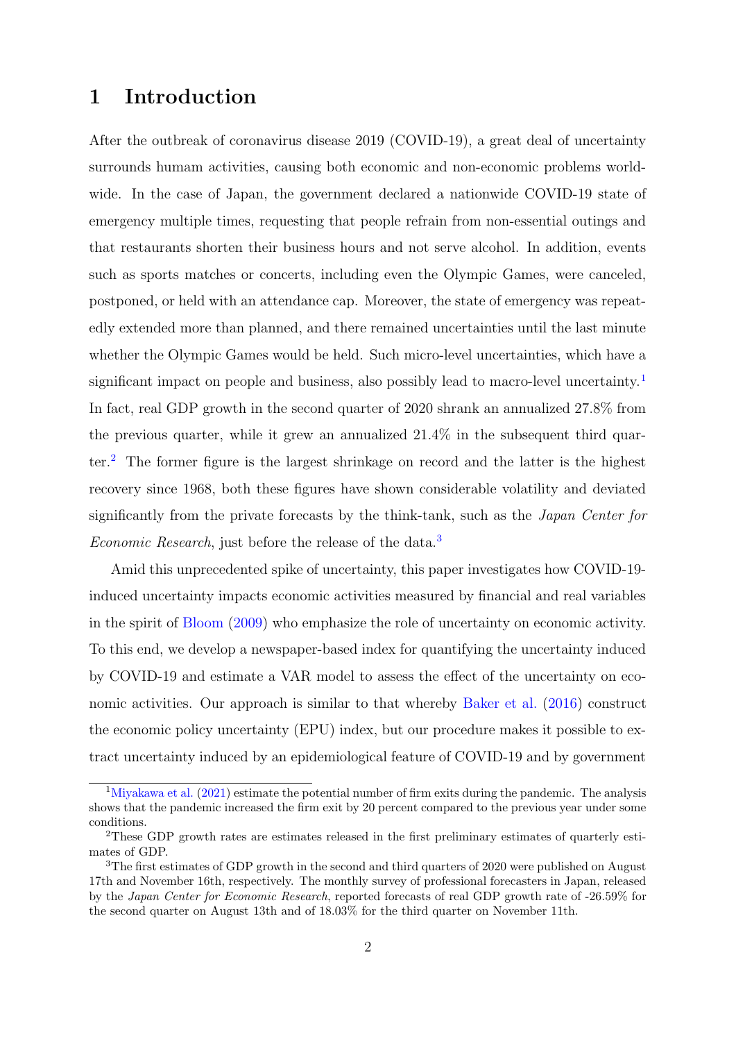# **1 Introduction**

After the outbreak of coronavirus disease 2019 (COVID-19), a great deal of uncertainty surrounds humam activities, causing both economic and non-economic problems worldwide. In the case of Japan, the government declared a nationwide COVID-19 state of emergency multiple times, requesting that people refrain from non-essential outings and that restaurants shorten their business hours and not serve alcohol. In addition, events such as sports matches or concerts, including even the Olympic Games, were canceled, postponed, or held with an attendance cap. Moreover, the state of emergency was repeatedly extended more than planned, and there remained uncertainties until the last minute whether the Olympic Games would be held. Such micro-level uncertainties, which have a significant impact on people and business, also possibly lead to macro-level uncertainty.<sup>[1](#page-2-0)</sup> In fact, real GDP growth in the second quarter of 2020 shrank an annualized 27.8% from the previous quarter, while it grew an annualized 21.4% in the subsequent third quarter.[2](#page-2-1) The former figure is the largest shrinkage on record and the latter is the highest recovery since 1968, both these figures have shown considerable volatility and deviated significantly from the private forecasts by the think-tank, such as the *Japan Center for Economic Research*, just before the release of the data.[3](#page-2-2)

Amid this unprecedented spike of uncertainty, this paper investigates how COVID-19 induced uncertainty impacts economic activities measured by financial and real variables in the spirit of [Bloom](#page-24-0) ([2009](#page-24-0)) who emphasize the role of uncertainty on economic activity. To this end, we develop a newspaper-based index for quantifying the uncertainty induced by COVID-19 and estimate a VAR model to assess the effect of the uncertainty on economic activities. Our approach is similar to that whereby [Baker et al.](#page-23-0) ([2016\)](#page-23-0) construct the economic policy uncertainty (EPU) index, but our procedure makes it possible to extract uncertainty induced by an epidemiological feature of COVID-19 and by government

<span id="page-2-0"></span><sup>&</sup>lt;sup>1</sup>[Miyakawa et al.](#page-24-1)  $(2021)$  estimate the potential number of firm exits during the pandemic. The analysis shows that the pandemic increased the firm exit by 20 percent compared to the previous year under some conditions.

<span id="page-2-1"></span><sup>2</sup>These GDP growth rates are estimates released in the first preliminary estimates of quarterly estimates of GDP.

<span id="page-2-2"></span><sup>&</sup>lt;sup>3</sup>The first estimates of GDP growth in the second and third quarters of 2020 were published on August 17th and November 16th, respectively. The monthly survey of professional forecasters in Japan, released by the *Japan Center for Economic Research*, reported forecasts of real GDP growth rate of -26.59% for the second quarter on August 13th and of 18.03% for the third quarter on November 11th.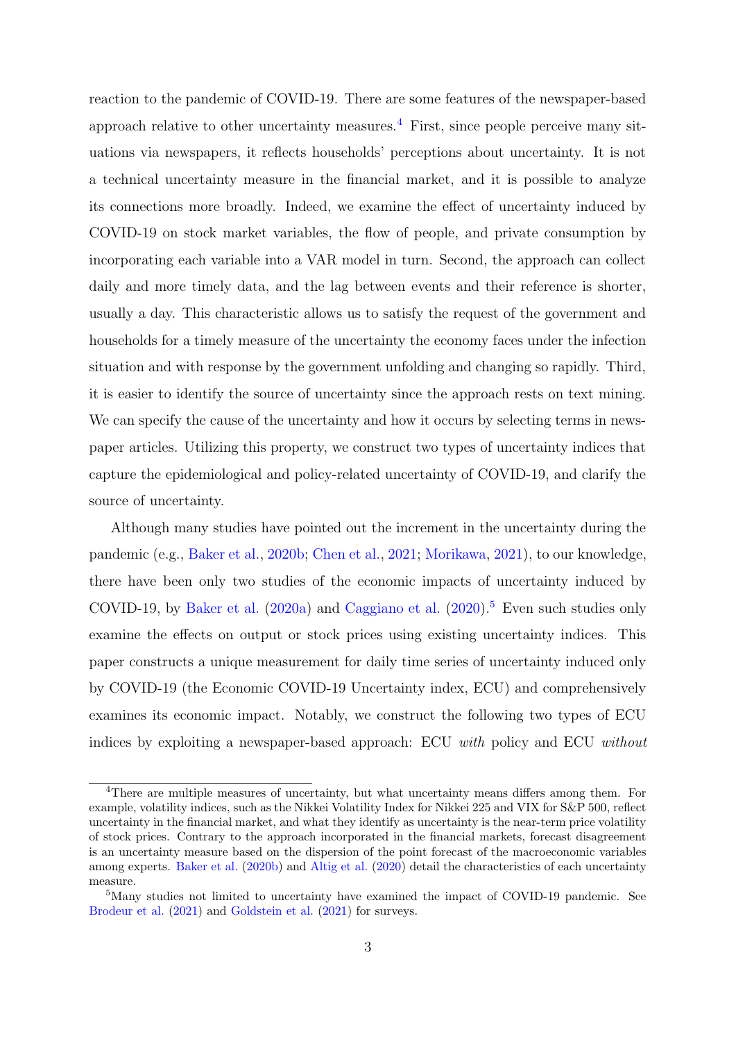reaction to the pandemic of COVID-19. There are some features of the newspaper-based approach relative to other uncertainty measures.<sup>[4](#page-3-0)</sup> First, since people perceive many situations via newspapers, it reflects households' perceptions about uncertainty. It is not a technical uncertainty measure in the financial market, and it is possible to analyze its connections more broadly. Indeed, we examine the effect of uncertainty induced by COVID-19 on stock market variables, the flow of people, and private consumption by incorporating each variable into a VAR model in turn. Second, the approach can collect daily and more timely data, and the lag between events and their reference is shorter, usually a day. This characteristic allows us to satisfy the request of the government and households for a timely measure of the uncertainty the economy faces under the infection situation and with response by the government unfolding and changing so rapidly. Third, it is easier to identify the source of uncertainty since the approach rests on text mining. We can specify the cause of the uncertainty and how it occurs by selecting terms in newspaper articles. Utilizing this property, we construct two types of uncertainty indices that capture the epidemiological and policy-related uncertainty of COVID-19, and clarify the source of uncertainty.

Although many studies have pointed out the increment in the uncertainty during the pandemic (e.g., [Baker et al.](#page-24-2), [2020b](#page-24-2); [Chen et al.,](#page-24-3) [2021](#page-24-3); [Morikawa](#page-24-4), [2021](#page-24-4)), to our knowledge, there have been only two studies of the economic impacts of uncertainty induced by COVID-19, by [Baker et al.](#page-23-1)  $(2020a)$  $(2020a)$  and [Caggiano et al.](#page-24-5)  $(2020)$ <sup>[5](#page-3-1)</sup> Even such studies only examine the effects on output or stock prices using existing uncertainty indices. This paper constructs a unique measurement for daily time series of uncertainty induced only by COVID-19 (the Economic COVID-19 Uncertainty index, ECU) and comprehensively examines its economic impact. Notably, we construct the following two types of ECU indices by exploiting a newspaper-based approach: ECU *with* policy and ECU *without*

<span id="page-3-0"></span><sup>4</sup>There are multiple measures of uncertainty, but what uncertainty means differs among them. For example, volatility indices, such as the Nikkei Volatility Index for Nikkei 225 and VIX for S&P 500, reflect uncertainty in the financial market, and what they identify as uncertainty is the near-term price volatility of stock prices. Contrary to the approach incorporated in the financial markets, forecast disagreement is an uncertainty measure based on the dispersion of the point forecast of the macroeconomic variables among experts. [Baker et al.](#page-24-2) ([2020b](#page-24-2)) and [Altig et al.](#page-23-2) ([2020\)](#page-23-2) detail the characteristics of each uncertainty measure.

<span id="page-3-1"></span><sup>&</sup>lt;sup>5</sup>Many studies not limited to uncertainty have examined the impact of COVID-19 pandemic. See [Brodeur et al.](#page-24-6) [\(2021](#page-24-6)) and [Goldstein et al.](#page-24-7) [\(2021\)](#page-24-7) for surveys.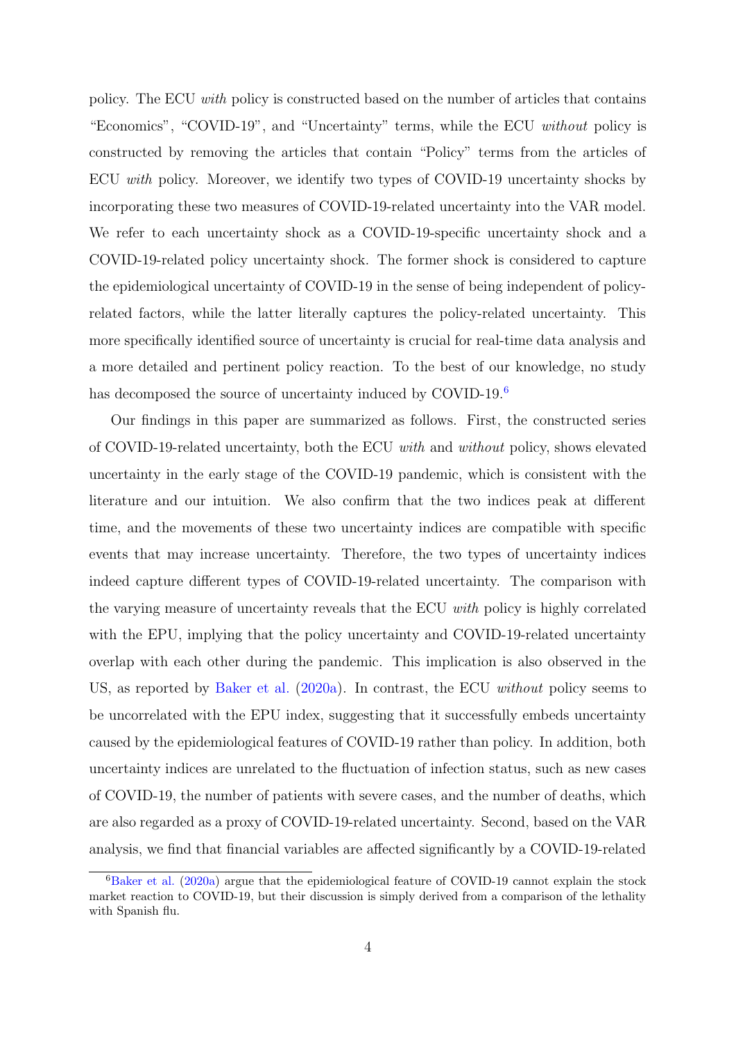policy. The ECU *with* policy is constructed based on the number of articles that contains "Economics", "COVID-19", and "Uncertainty" terms, while the ECU *without* policy is constructed by removing the articles that contain "Policy" terms from the articles of ECU *with* policy. Moreover, we identify two types of COVID-19 uncertainty shocks by incorporating these two measures of COVID-19-related uncertainty into the VAR model. We refer to each uncertainty shock as a COVID-19-specific uncertainty shock and a COVID-19-related policy uncertainty shock. The former shock is considered to capture the epidemiological uncertainty of COVID-19 in the sense of being independent of policyrelated factors, while the latter literally captures the policy-related uncertainty. This more specifically identified source of uncertainty is crucial for real-time data analysis and a more detailed and pertinent policy reaction. To the best of our knowledge, no study has decomposed the source of uncertainty induced by COVID-19.<sup>[6](#page-4-0)</sup>

Our findings in this paper are summarized as follows. First, the constructed series of COVID-19-related uncertainty, both the ECU *with* and *without* policy, shows elevated uncertainty in the early stage of the COVID-19 pandemic, which is consistent with the literature and our intuition. We also confirm that the two indices peak at different time, and the movements of these two uncertainty indices are compatible with specific events that may increase uncertainty. Therefore, the two types of uncertainty indices indeed capture different types of COVID-19-related uncertainty. The comparison with the varying measure of uncertainty reveals that the ECU *with* policy is highly correlated with the EPU, implying that the policy uncertainty and COVID-19-related uncertainty overlap with each other during the pandemic. This implication is also observed in the US, as reported by [Baker et al.](#page-23-1) [\(2020a\)](#page-23-1). In contrast, the ECU *without* policy seems to be uncorrelated with the EPU index, suggesting that it successfully embeds uncertainty caused by the epidemiological features of COVID-19 rather than policy. In addition, both uncertainty indices are unrelated to the fluctuation of infection status, such as new cases of COVID-19, the number of patients with severe cases, and the number of deaths, which are also regarded as a proxy of COVID-19-related uncertainty. Second, based on the VAR analysis, we find that financial variables are affected significantly by a COVID-19-related

<span id="page-4-0"></span> ${}^{6}$ [Baker et al.](#page-23-1) [\(2020a](#page-23-1)) argue that the epidemiological feature of COVID-19 cannot explain the stock market reaction to COVID-19, but their discussion is simply derived from a comparison of the lethality with Spanish flu.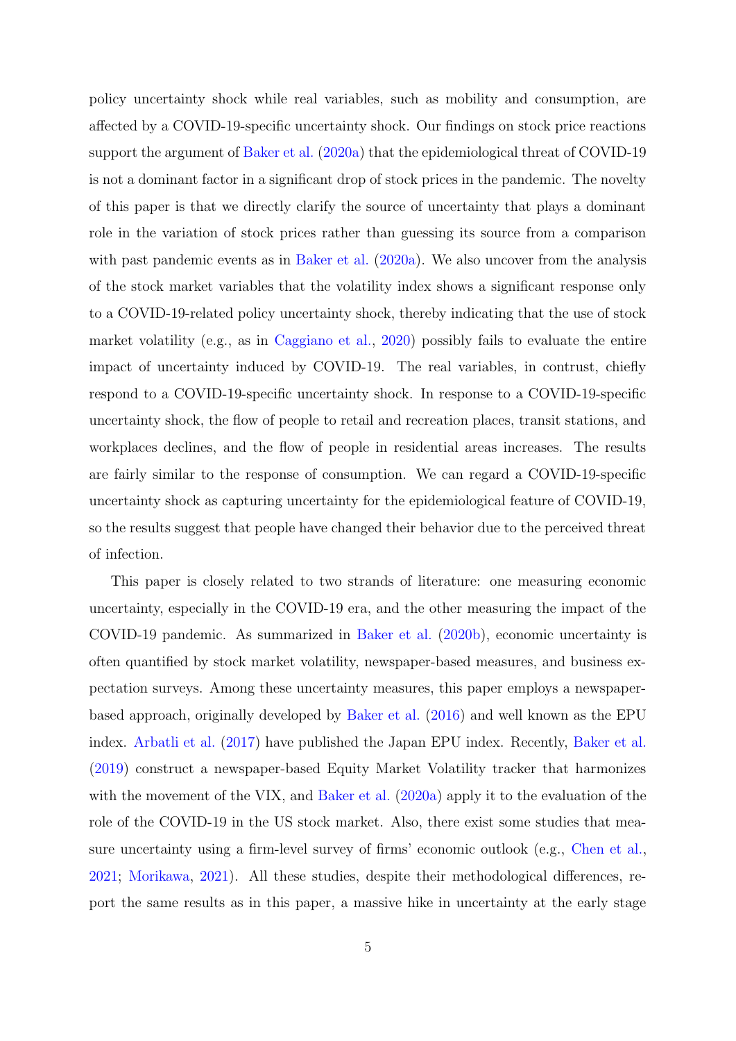policy uncertainty shock while real variables, such as mobility and consumption, are affected by a COVID-19-specific uncertainty shock. Our findings on stock price reactions support the argument of [Baker et al.](#page-23-1) ([2020a\)](#page-23-1) that the epidemiological threat of COVID-19 is not a dominant factor in a significant drop of stock prices in the pandemic. The novelty of this paper is that we directly clarify the source of uncertainty that plays a dominant role in the variation of stock prices rather than guessing its source from a comparison with past pandemic events as in [Baker et al.](#page-23-1)  $(2020a)$  $(2020a)$ . We also uncover from the analysis of the stock market variables that the volatility index shows a significant response only to a COVID-19-related policy uncertainty shock, thereby indicating that the use of stock market volatility (e.g., as in [Caggiano et al.,](#page-24-5) [2020\)](#page-24-5) possibly fails to evaluate the entire impact of uncertainty induced by COVID-19. The real variables, in contrust, chiefly respond to a COVID-19-specific uncertainty shock. In response to a COVID-19-specific uncertainty shock, the flow of people to retail and recreation places, transit stations, and workplaces declines, and the flow of people in residential areas increases. The results are fairly similar to the response of consumption. We can regard a COVID-19-specific uncertainty shock as capturing uncertainty for the epidemiological feature of COVID-19, so the results suggest that people have changed their behavior due to the perceived threat of infection.

This paper is closely related to two strands of literature: one measuring economic uncertainty, especially in the COVID-19 era, and the other measuring the impact of the COVID-19 pandemic. As summarized in [Baker et al.](#page-24-2) ([2020b\)](#page-24-2), economic uncertainty is often quantified by stock market volatility, newspaper-based measures, and business expectation surveys. Among these uncertainty measures, this paper employs a newspaperbased approach, originally developed by [Baker et al.](#page-23-0) ([2016](#page-23-0)) and well known as the EPU index. [Arbatli et al.](#page-23-3) ([2017](#page-23-3)) have published the Japan EPU index. Recently, [Baker et al.](#page-23-4) ([2019\)](#page-23-4) construct a newspaper-based Equity Market Volatility tracker that harmonizes with the movement of the VIX, and [Baker et al.](#page-23-1) [\(2020a](#page-23-1)) apply it to the evaluation of the role of the COVID-19 in the US stock market. Also, there exist some studies that measure uncertainty using a firm-level survey of firms' economic outlook (e.g., [Chen et al.](#page-24-3), [2021](#page-24-3); [Morikawa,](#page-24-4) [2021](#page-24-4)). All these studies, despite their methodological differences, report the same results as in this paper, a massive hike in uncertainty at the early stage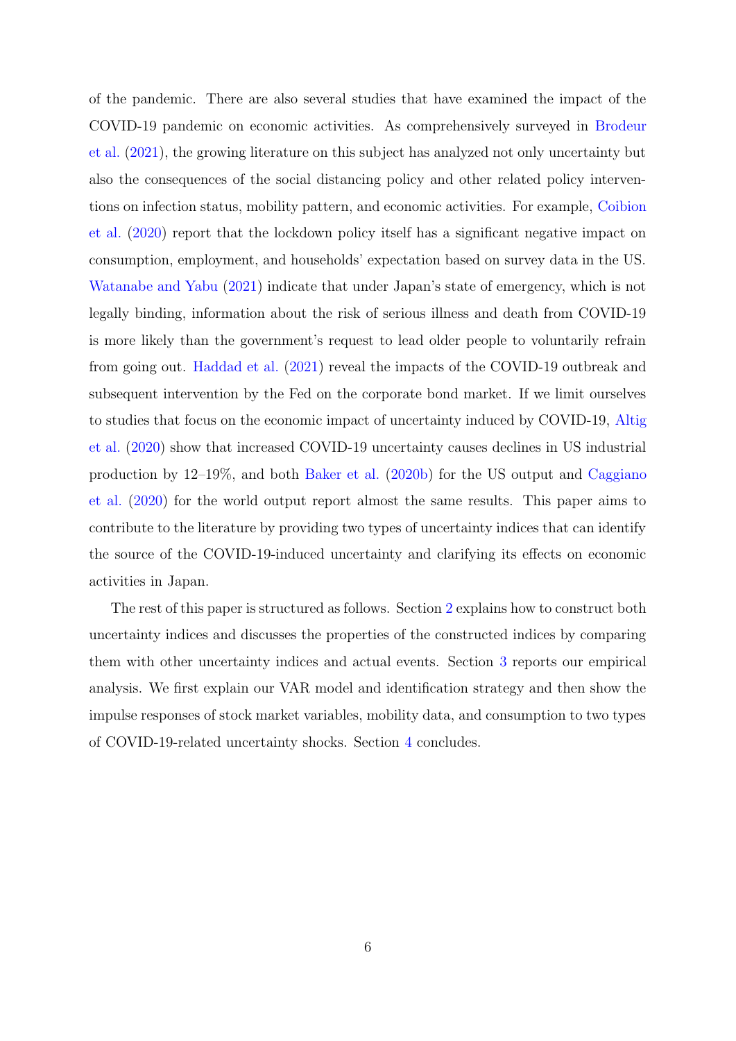of the pandemic. There are also several studies that have examined the impact of the COVID-19 pandemic on economic activities. As comprehensively surveyed in [Brodeur](#page-24-6) [et al.](#page-24-6) [\(2021\)](#page-24-6), the growing literature on this subject has analyzed not only uncertainty but also the consequences of the social distancing policy and other related policy interventions on infection status, mobility pattern, and economic activities. For example, [Coibion](#page-24-8) [et al.](#page-24-8) [\(2020\)](#page-24-8) report that the lockdown policy itself has a significant negative impact on consumption, employment, and households' expectation based on survey data in the US. [Watanabe and Yabu](#page-24-9) ([2021](#page-24-9)) indicate that under Japan's state of emergency, which is not legally binding, information about the risk of serious illness and death from COVID-19 is more likely than the government's request to lead older people to voluntarily refrain from going out. [Haddad et al.](#page-24-10) [\(2021\)](#page-24-10) reveal the impacts of the COVID-19 outbreak and subsequent intervention by the Fed on the corporate bond market. If we limit ourselves to studies that focus on the economic impact of uncertainty induced by COVID-19, [Altig](#page-23-2) [et al.](#page-23-2) [\(2020\)](#page-23-2) show that increased COVID-19 uncertainty causes declines in US industrial production by 12–19%, and both [Baker et al.](#page-24-2) [\(2020b](#page-24-2)) for the US output and [Caggiano](#page-24-5) [et al.](#page-24-5) [\(2020\)](#page-24-5) for the world output report almost the same results. This paper aims to contribute to the literature by providing two types of uncertainty indices that can identify the source of the COVID-19-induced uncertainty and clarifying its effects on economic activities in Japan.

The rest of this paper is structured as follows. Section [2](#page-7-0) explains how to construct both uncertainty indices and discusses the properties of the constructed indices by comparing them with other uncertainty indices and actual events. Section [3](#page-12-0) reports our empirical analysis. We first explain our VAR model and identification strategy and then show the impulse responses of stock market variables, mobility data, and consumption to two types of COVID-19-related uncertainty shocks. Section [4](#page-22-0) concludes.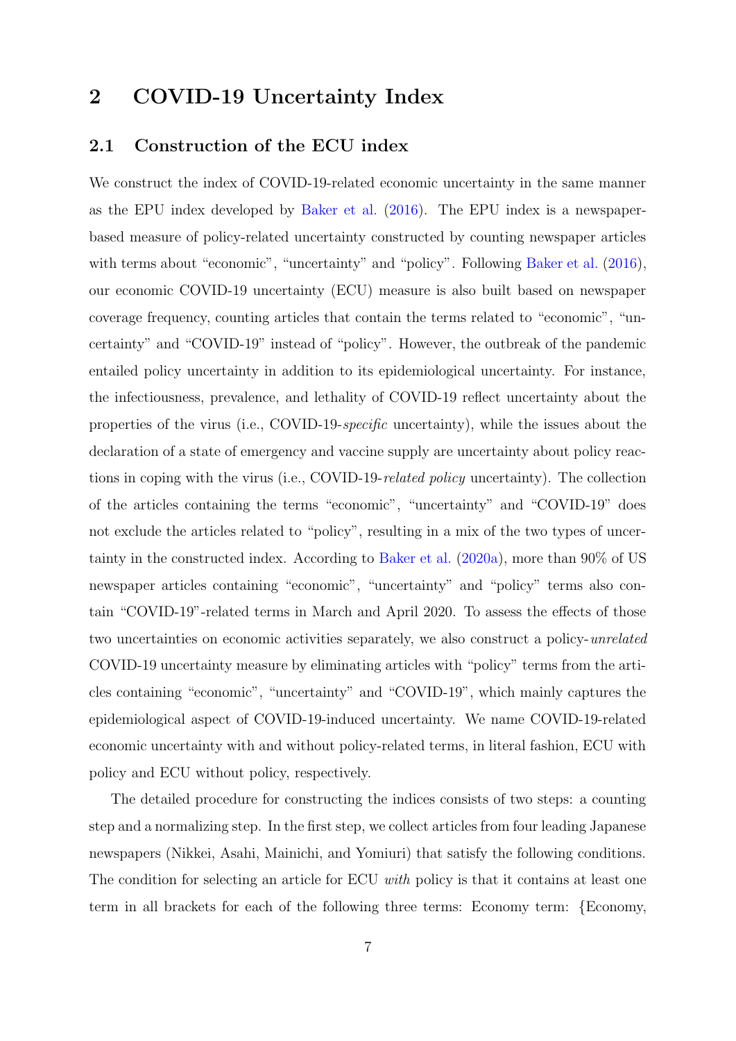# <span id="page-7-0"></span>**2 COVID-19 Uncertainty Index**

### **2.1 Construction of the ECU index**

We construct the index of COVID-19-related economic uncertainty in the same manner as the EPU index developed by [Baker et al.](#page-23-0) ([2016](#page-23-0)). The EPU index is a newspaperbased measure of policy-related uncertainty constructed by counting newspaper articles with terms about "economic", "uncertainty" and "policy". Following [Baker et al.](#page-23-0)  $(2016)$  $(2016)$ , our economic COVID-19 uncertainty (ECU) measure is also built based on newspaper coverage frequency, counting articles that contain the terms related to "economic", "uncertainty" and "COVID-19" instead of "policy". However, the outbreak of the pandemic entailed policy uncertainty in addition to its epidemiological uncertainty. For instance, the infectiousness, prevalence, and lethality of COVID-19 reflect uncertainty about the properties of the virus (i.e., COVID-19-*specific* uncertainty), while the issues about the declaration of a state of emergency and vaccine supply are uncertainty about policy reactions in coping with the virus (i.e., COVID-19-*related policy* uncertainty). The collection of the articles containing the terms "economic", "uncertainty" and "COVID-19" does not exclude the articles related to "policy", resulting in a mix of the two types of uncertainty in the constructed index. According to [Baker et al.](#page-23-1) ([2020a\)](#page-23-1), more than 90% of US newspaper articles containing "economic", "uncertainty" and "policy" terms also contain "COVID-19"-related terms in March and April 2020. To assess the effects of those two uncertainties on economic activities separately, we also construct a policy-*unrelated* COVID-19 uncertainty measure by eliminating articles with "policy" terms from the articles containing "economic", "uncertainty" and "COVID-19", which mainly captures the epidemiological aspect of COVID-19-induced uncertainty. We name COVID-19-related economic uncertainty with and without policy-related terms, in literal fashion, ECU with policy and ECU without policy, respectively.

The detailed procedure for constructing the indices consists of two steps: a counting step and a normalizing step. In the first step, we collect articles from four leading Japanese newspapers (Nikkei, Asahi, Mainichi, and Yomiuri) that satisfy the following conditions. The condition for selecting an article for ECU *with* policy is that it contains at least one term in all brackets for each of the following three terms: Economy term: *{*Economy,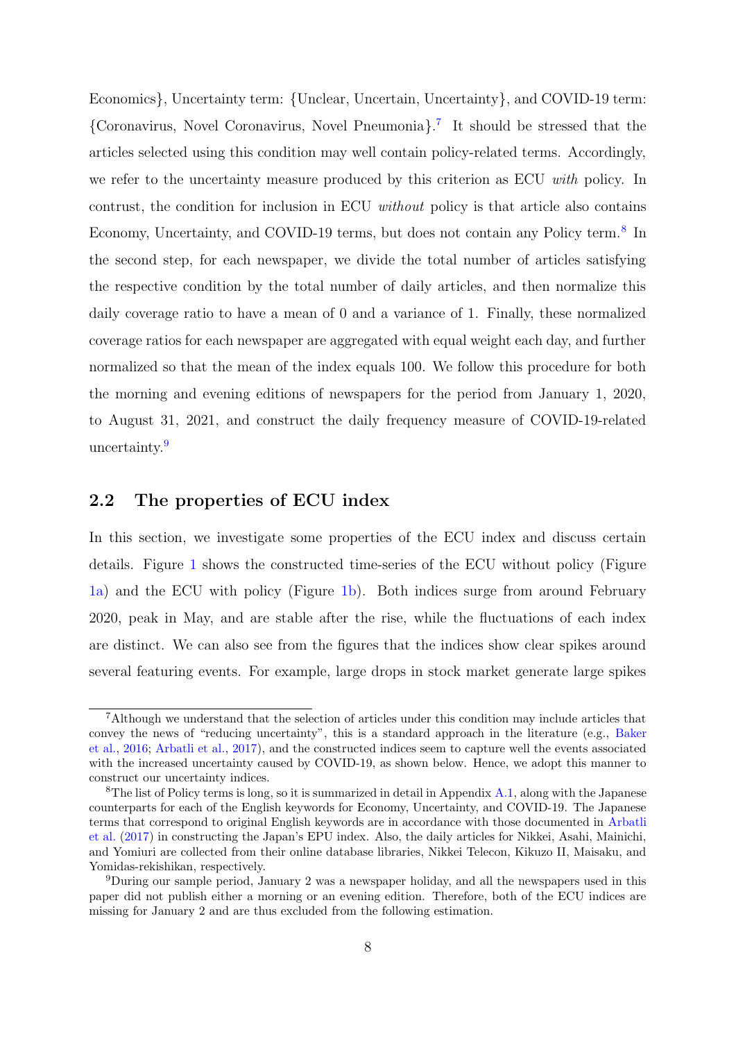Economics*}*, Uncertainty term: *{*Unclear, Uncertain, Uncertainty*}*, and COVID-19 term: *{*Coronavirus, Novel Coronavirus, Novel Pneumonia*}*. [7](#page-8-0) It should be stressed that the articles selected using this condition may well contain policy-related terms. Accordingly, we refer to the uncertainty measure produced by this criterion as ECU *with* policy. In contrust, the condition for inclusion in ECU *without* policy is that article also contains Economy, Uncertainty, and COVID-19 terms, but does not contain any Policy term.<sup>[8](#page-8-1)</sup> In the second step, for each newspaper, we divide the total number of articles satisfying the respective condition by the total number of daily articles, and then normalize this daily coverage ratio to have a mean of 0 and a variance of 1. Finally, these normalized coverage ratios for each newspaper are aggregated with equal weight each day, and further normalized so that the mean of the index equals 100. We follow this procedure for both the morning and evening editions of newspapers for the period from January 1, 2020, to August 31, 2021, and construct the daily frequency measure of COVID-19-related uncertainty.<sup>[9](#page-8-2)</sup>

### **2.2 The properties of ECU index**

In this section, we investigate some properties of the ECU index and discuss certain details. Figure [1](#page-10-0) shows the constructed time-series of the ECU without policy (Figure [1a\)](#page-10-0) and the ECU with policy (Figure [1b](#page-10-0)). Both indices surge from around February 2020, peak in May, and are stable after the rise, while the fluctuations of each index are distinct. We can also see from the figures that the indices show clear spikes around several featuring events. For example, large drops in stock market generate large spikes

<span id="page-8-0"></span><sup>7</sup>Although we understand that the selection of articles under this condition may include articles that convey the news of "reducing uncertainty", this is a standard approach in the literature (e.g., [Baker](#page-23-0) [et al.,](#page-23-0) [2016;](#page-23-0) [Arbatli et al.](#page-23-3), [2017\)](#page-23-3), and the constructed indices seem to capture well the events associated with the increased uncertainty caused by COVID-19, as shown below. Hence, we adopt this manner to construct our uncertainty indices.

<span id="page-8-1"></span><sup>&</sup>lt;sup>8</sup>The list of Policy terms is long, so it is summarized in detail in Appendix [A.1,](#page-25-0) along with the Japanese counterparts for each of the English keywords for Economy, Uncertainty, and COVID-19. The Japanese terms that correspond to original English keywords are in accordance with those documented in [Arbatli](#page-23-3) [et al.](#page-23-3) ([2017\)](#page-23-3) in constructing the Japan's EPU index. Also, the daily articles for Nikkei, Asahi, Mainichi, and Yomiuri are collected from their online database libraries, Nikkei Telecon, Kikuzo II, Maisaku, and Yomidas-rekishikan, respectively.

<span id="page-8-2"></span><sup>9</sup>During our sample period, January 2 was a newspaper holiday, and all the newspapers used in this paper did not publish either a morning or an evening edition. Therefore, both of the ECU indices are missing for January 2 and are thus excluded from the following estimation.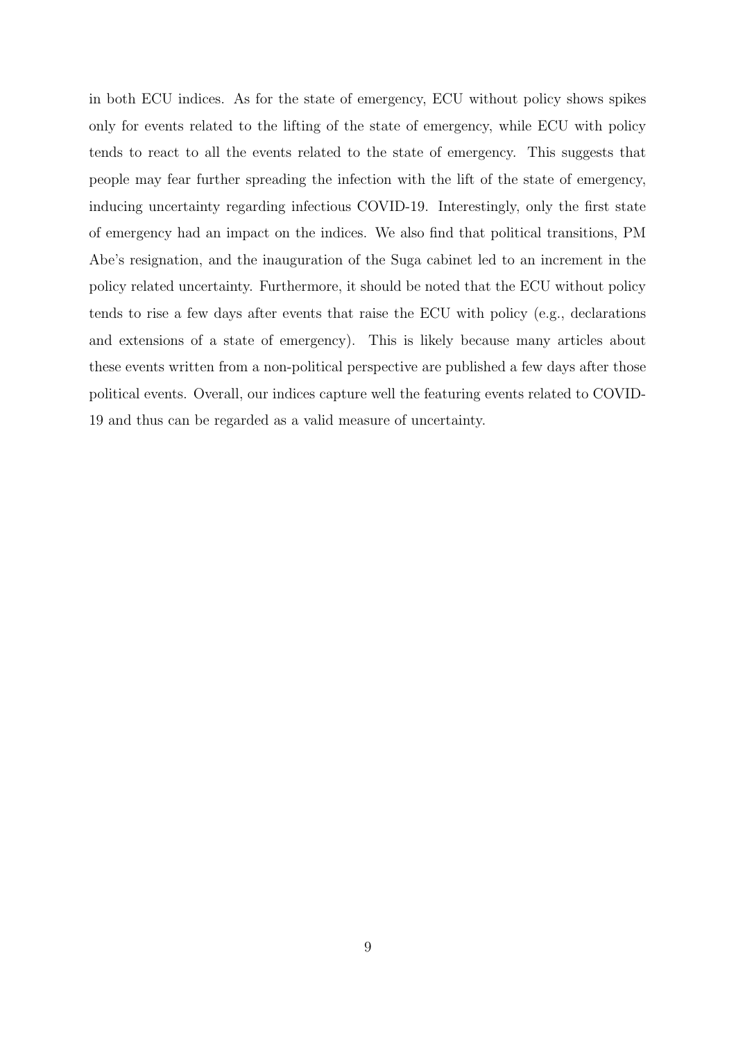in both ECU indices. As for the state of emergency, ECU without policy shows spikes only for events related to the lifting of the state of emergency, while ECU with policy tends to react to all the events related to the state of emergency. This suggests that people may fear further spreading the infection with the lift of the state of emergency, inducing uncertainty regarding infectious COVID-19. Interestingly, only the first state of emergency had an impact on the indices. We also find that political transitions, PM Abe's resignation, and the inauguration of the Suga cabinet led to an increment in the policy related uncertainty. Furthermore, it should be noted that the ECU without policy tends to rise a few days after events that raise the ECU with policy (e.g., declarations and extensions of a state of emergency). This is likely because many articles about these events written from a non-political perspective are published a few days after those political events. Overall, our indices capture well the featuring events related to COVID-19 and thus can be regarded as a valid measure of uncertainty.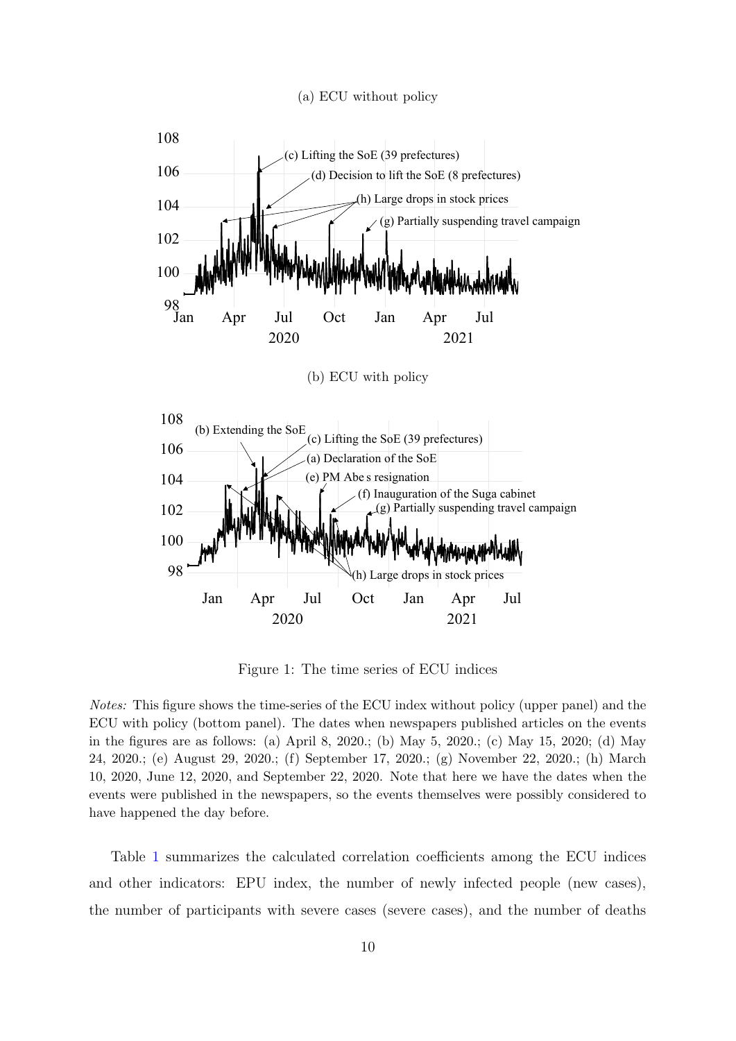(a) ECU without policy

<span id="page-10-0"></span>

Figure 1: The time series of ECU indices

*Notes:* This figure shows the time-series of the ECU index without policy (upper panel) and the ECU with policy (bottom panel). The dates when newspapers published articles on the events in the figures are as follows: (a) April 8, 2020.; (b) May 5, 2020.; (c) May 15, 2020; (d) May 24, 2020.; (e) August 29, 2020.; (f) September 17, 2020.; (g) November 22, 2020.; (h) March 10, 2020, June 12, 2020, and September 22, 2020. Note that here we have the dates when the events were published in the newspapers, so the events themselves were possibly considered to have happened the day before.

Table [1](#page-11-0) summarizes the calculated correlation coefficients among the ECU indices and other indicators: EPU index, the number of newly infected people (new cases), the number of participants with severe cases (severe cases), and the number of deaths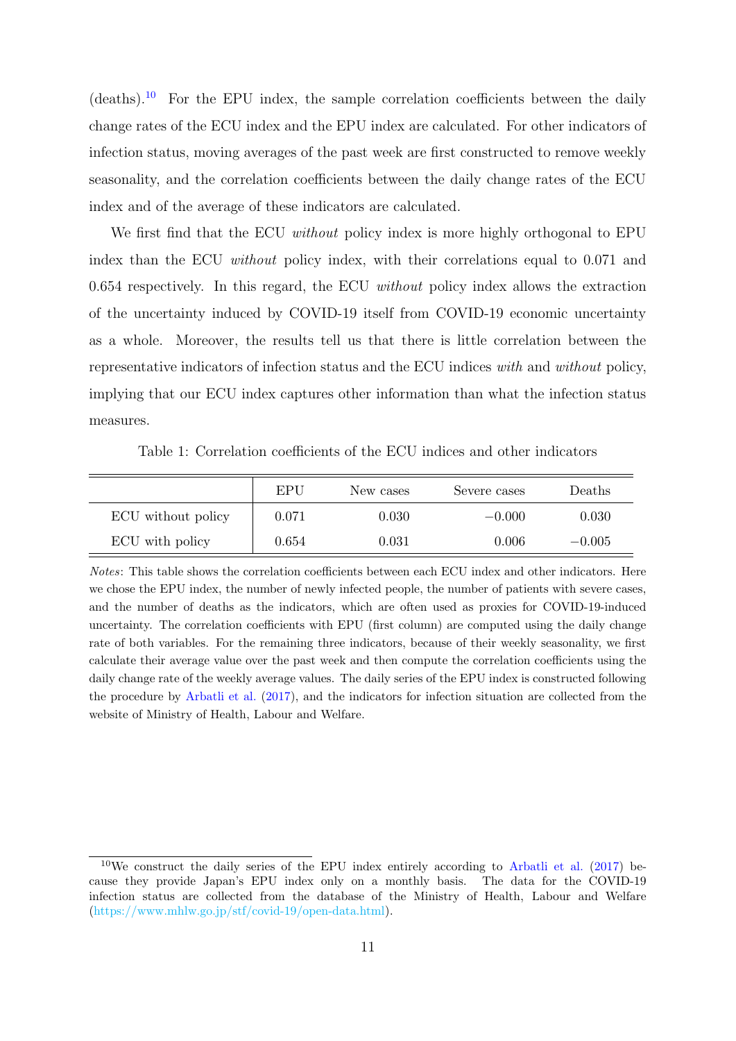$(deaths).$ <sup>[10](#page-11-1)</sup> For the EPU index, the sample correlation coefficients between the daily change rates of the ECU index and the EPU index are calculated. For other indicators of infection status, moving averages of the past week are first constructed to remove weekly seasonality, and the correlation coefficients between the daily change rates of the ECU index and of the average of these indicators are calculated.

We first find that the ECU *without* policy index is more highly orthogonal to EPU index than the ECU *without* policy index, with their correlations equal to 0.071 and 0.654 respectively. In this regard, the ECU *without* policy index allows the extraction of the uncertainty induced by COVID-19 itself from COVID-19 economic uncertainty as a whole. Moreover, the results tell us that there is little correlation between the representative indicators of infection status and the ECU indices *with* and *without* policy, implying that our ECU index captures other information than what the infection status measures.

Table 1: Correlation coefficients of the ECU indices and other indicators

<span id="page-11-0"></span>

|                    | EPU   | New cases | Severe cases | Deaths   |
|--------------------|-------|-----------|--------------|----------|
| ECU without policy | 0.071 | 0.030     | $-0.000$     | 0.030    |
| ECU with policy    | 0.654 | 0.031     | 0.006        | $-0.005$ |

*Notes*: This table shows the correlation coefficients between each ECU index and other indicators. Here we chose the EPU index, the number of newly infected people, the number of patients with severe cases, and the number of deaths as the indicators, which are often used as proxies for COVID-19-induced uncertainty. The correlation coefficients with EPU (first column) are computed using the daily change rate of both variables. For the remaining three indicators, because of their weekly seasonality, we first calculate their average value over the past week and then compute the correlation coefficients using the daily change rate of the weekly average values. The daily series of the EPU index is constructed following the procedure by [Arbatli et al.](#page-23-3) [\(2017](#page-23-3)), and the indicators for infection situation are collected from the website of Ministry of Health, Labour and Welfare.

<span id="page-11-1"></span> $10$ We construct the daily series of the EPU index entirely according to [Arbatli et al.](#page-23-3) ([2017\)](#page-23-3) because they provide Japan's EPU index only on a monthly basis. The data for the COVID-19 infection status are collected from the database of the Ministry of Health, Labour and Welfare (<https://www.mhlw.go.jp/stf/covid-19/open-data.html>).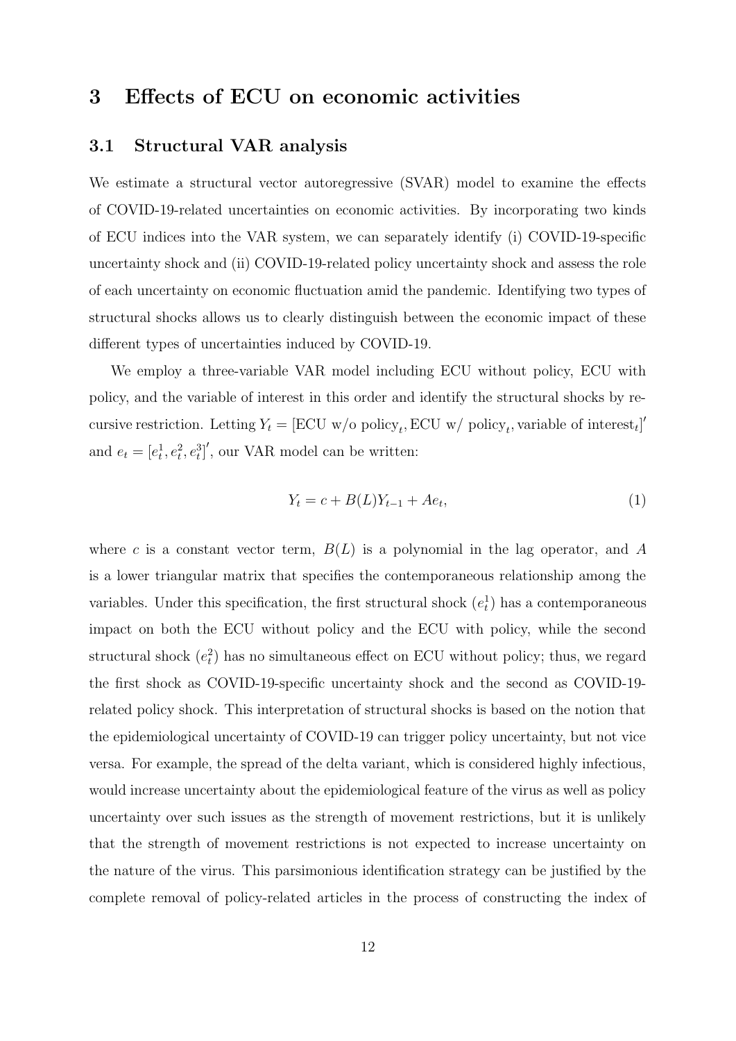# <span id="page-12-0"></span>**3 Effects of ECU on economic activities**

#### **3.1 Structural VAR analysis**

We estimate a structural vector autoregressive (SVAR) model to examine the effects of COVID-19-related uncertainties on economic activities. By incorporating two kinds of ECU indices into the VAR system, we can separately identify (i) COVID-19-specific uncertainty shock and (ii) COVID-19-related policy uncertainty shock and assess the role of each uncertainty on economic fluctuation amid the pandemic. Identifying two types of structural shocks allows us to clearly distinguish between the economic impact of these different types of uncertainties induced by COVID-19.

We employ a three-variable VAR model including ECU without policy, ECU with policy, and the variable of interest in this order and identify the structural shocks by recursive restriction. Letting  $Y_t = [\text{ECU w/o policy}_t, \text{ECU w/v policy}_t, \text{variable of interest}_t]'$ and  $e_t = [e_t^1, e_t^2, e_t^3]'$ , our VAR model can be written:

$$
Y_t = c + B(L)Y_{t-1} + Ae_t,
$$
\n(1)

where *c* is a constant vector term,  $B(L)$  is a polynomial in the lag operator, and A is a lower triangular matrix that specifies the contemporaneous relationship among the variables. Under this specification, the first structural shock  $(e_t^1)$  has a contemporaneous impact on both the ECU without policy and the ECU with policy, while the second structural shock  $(e_t^2)$  has no simultaneous effect on ECU without policy; thus, we regard the first shock as COVID-19-specific uncertainty shock and the second as COVID-19 related policy shock. This interpretation of structural shocks is based on the notion that the epidemiological uncertainty of COVID-19 can trigger policy uncertainty, but not vice versa. For example, the spread of the delta variant, which is considered highly infectious, would increase uncertainty about the epidemiological feature of the virus as well as policy uncertainty over such issues as the strength of movement restrictions, but it is unlikely that the strength of movement restrictions is not expected to increase uncertainty on the nature of the virus. This parsimonious identification strategy can be justified by the complete removal of policy-related articles in the process of constructing the index of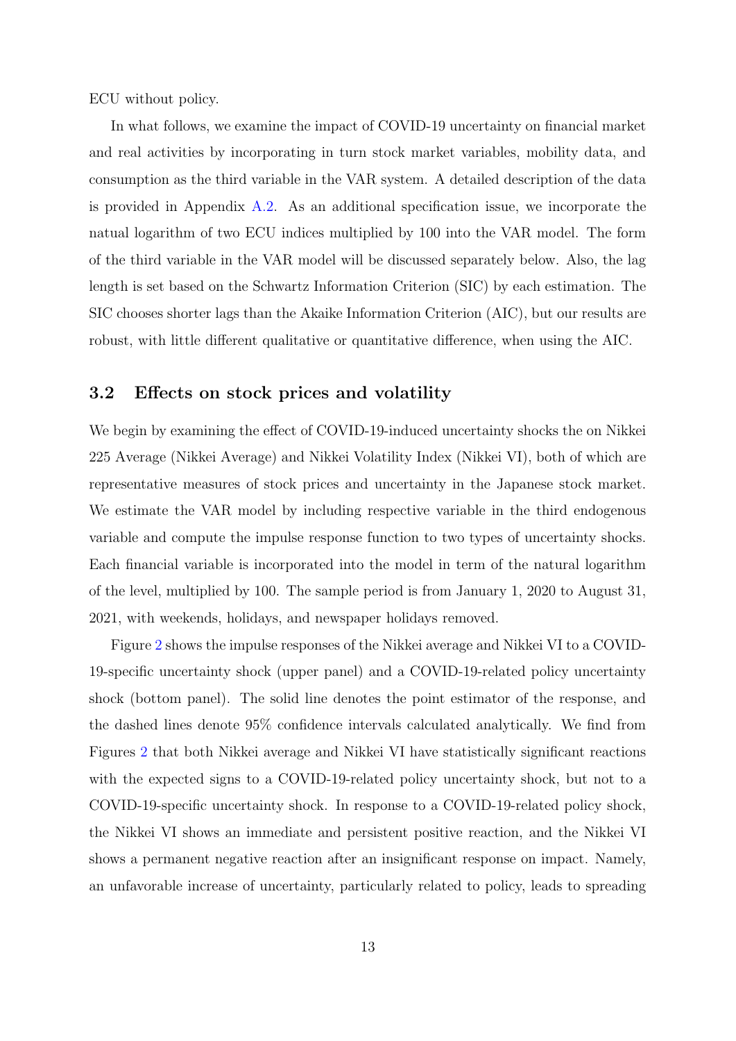ECU without policy.

In what follows, we examine the impact of COVID-19 uncertainty on financial market and real activities by incorporating in turn stock market variables, mobility data, and consumption as the third variable in the VAR system. A detailed description of the data is provided in Appendix [A.2](#page-26-0). As an additional specification issue, we incorporate the natual logarithm of two ECU indices multiplied by 100 into the VAR model. The form of the third variable in the VAR model will be discussed separately below. Also, the lag length is set based on the Schwartz Information Criterion (SIC) by each estimation. The SIC chooses shorter lags than the Akaike Information Criterion (AIC), but our results are robust, with little different qualitative or quantitative difference, when using the AIC.

#### **3.2 Effects on stock prices and volatility**

We begin by examining the effect of COVID-19-induced uncertainty shocks the on Nikkei 225 Average (Nikkei Average) and Nikkei Volatility Index (Nikkei VI), both of which are representative measures of stock prices and uncertainty in the Japanese stock market. We estimate the VAR model by including respective variable in the third endogenous variable and compute the impulse response function to two types of uncertainty shocks. Each financial variable is incorporated into the model in term of the natural logarithm of the level, multiplied by 100. The sample period is from January 1, 2020 to August 31, 2021, with weekends, holidays, and newspaper holidays removed.

Figure [2](#page-14-0) shows the impulse responses of the Nikkei average and Nikkei VI to a COVID-19-specific uncertainty shock (upper panel) and a COVID-19-related policy uncertainty shock (bottom panel). The solid line denotes the point estimator of the response, and the dashed lines denote 95% confidence intervals calculated analytically. We find from Figures [2](#page-14-0) that both Nikkei average and Nikkei VI have statistically significant reactions with the expected signs to a COVID-19-related policy uncertainty shock, but not to a COVID-19-specific uncertainty shock. In response to a COVID-19-related policy shock, the Nikkei VI shows an immediate and persistent positive reaction, and the Nikkei VI shows a permanent negative reaction after an insignificant response on impact. Namely, an unfavorable increase of uncertainty, particularly related to policy, leads to spreading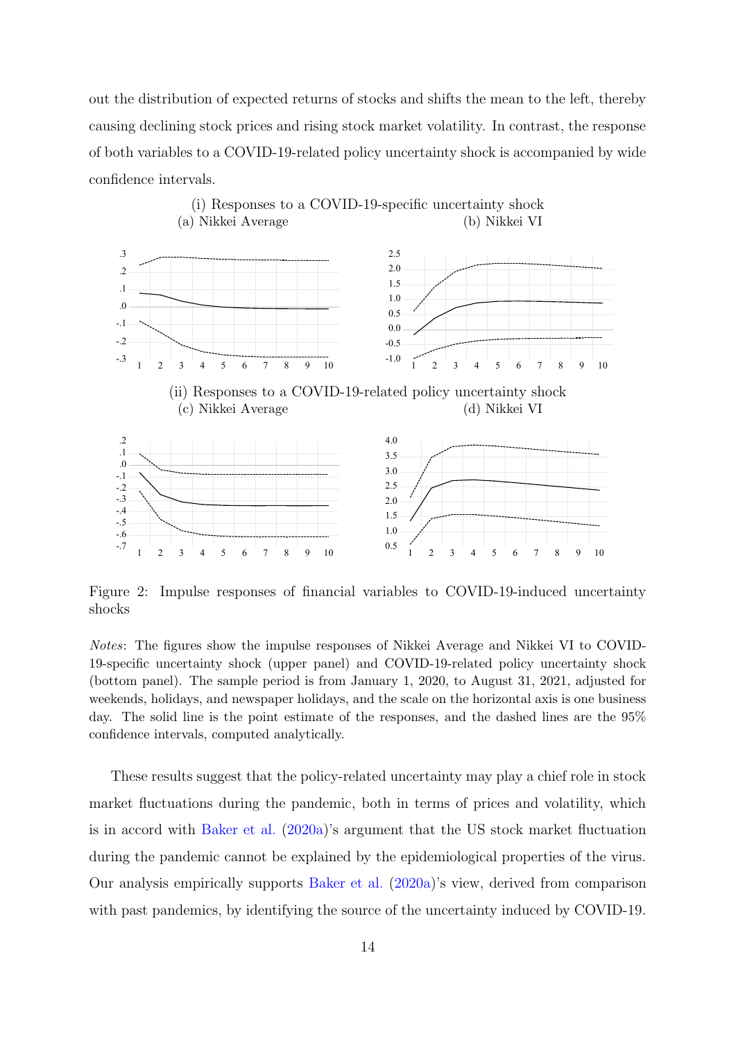out the distribution of expected returns of stocks and shifts the mean to the left, thereby causing declining stock prices and rising stock market volatility. In contrast, the response of both variables to a COVID-19-related policy uncertainty shock is accompanied by wide confidence intervals.

<span id="page-14-0"></span>

Figure 2: Impulse responses of financial variables to COVID-19-induced uncertainty shocks

*Notes*: The figures show the impulse responses of Nikkei Average and Nikkei VI to COVID-19-specific uncertainty shock (upper panel) and COVID-19-related policy uncertainty shock (bottom panel). The sample period is from January 1, 2020, to August 31, 2021, adjusted for weekends, holidays, and newspaper holidays, and the scale on the horizontal axis is one business day. The solid line is the point estimate of the responses, and the dashed lines are the 95% confidence intervals, computed analytically.

These results suggest that the policy-related uncertainty may play a chief role in stock market fluctuations during the pandemic, both in terms of prices and volatility, which is in accord with [Baker et al.](#page-23-1) [\(2020a\)](#page-23-1)'s argument that the US stock market fluctuation during the pandemic cannot be explained by the epidemiological properties of the virus. Our analysis empirically supports [Baker et al.](#page-23-1) [\(2020a](#page-23-1))'s view, derived from comparison with past pandemics, by identifying the source of the uncertainty induced by COVID-19.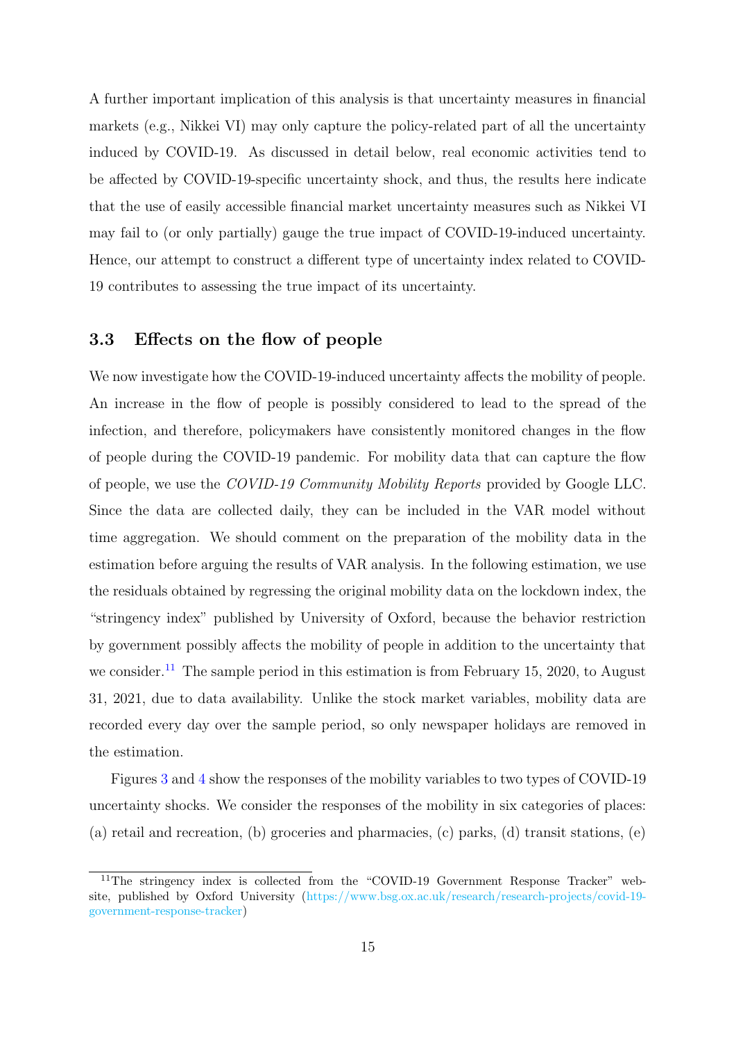A further important implication of this analysis is that uncertainty measures in financial markets (e.g., Nikkei VI) may only capture the policy-related part of all the uncertainty induced by COVID-19. As discussed in detail below, real economic activities tend to be affected by COVID-19-specific uncertainty shock, and thus, the results here indicate that the use of easily accessible financial market uncertainty measures such as Nikkei VI may fail to (or only partially) gauge the true impact of COVID-19-induced uncertainty. Hence, our attempt to construct a different type of uncertainty index related to COVID-19 contributes to assessing the true impact of its uncertainty.

### **3.3 Effects on the flow of people**

We now investigate how the COVID-19-induced uncertainty affects the mobility of people. An increase in the flow of people is possibly considered to lead to the spread of the infection, and therefore, policymakers have consistently monitored changes in the flow of people during the COVID-19 pandemic. For mobility data that can capture the flow of people, we use the *COVID-19 Community Mobility Reports* provided by Google LLC. Since the data are collected daily, they can be included in the VAR model without time aggregation. We should comment on the preparation of the mobility data in the estimation before arguing the results of VAR analysis. In the following estimation, we use the residuals obtained by regressing the original mobility data on the lockdown index, the "stringency index" published by University of Oxford, because the behavior restriction by government possibly affects the mobility of people in addition to the uncertainty that we consider.<sup>[11](#page-15-0)</sup> The sample period in this estimation is from February 15, 2020, to August 31, 2021, due to data availability. Unlike the stock market variables, mobility data are recorded every day over the sample period, so only newspaper holidays are removed in the estimation.

Figures [3](#page-16-0) and [4](#page-17-0) show the responses of the mobility variables to two types of COVID-19 uncertainty shocks. We consider the responses of the mobility in six categories of places: (a) retail and recreation, (b) groceries and pharmacies, (c) parks, (d) transit stations, (e)

<span id="page-15-0"></span><sup>&</sup>lt;sup>11</sup>The stringency index is collected from the "COVID-19 Government Response Tracker" website, published by Oxford University ([https://www.bsg.ox.ac.uk/research/research-projects/covid-19](https://www.bsg.ox.ac.uk/research/research-projects/covid-19-government-response-tracker) [government-response-tracker](https://www.bsg.ox.ac.uk/research/research-projects/covid-19-government-response-tracker))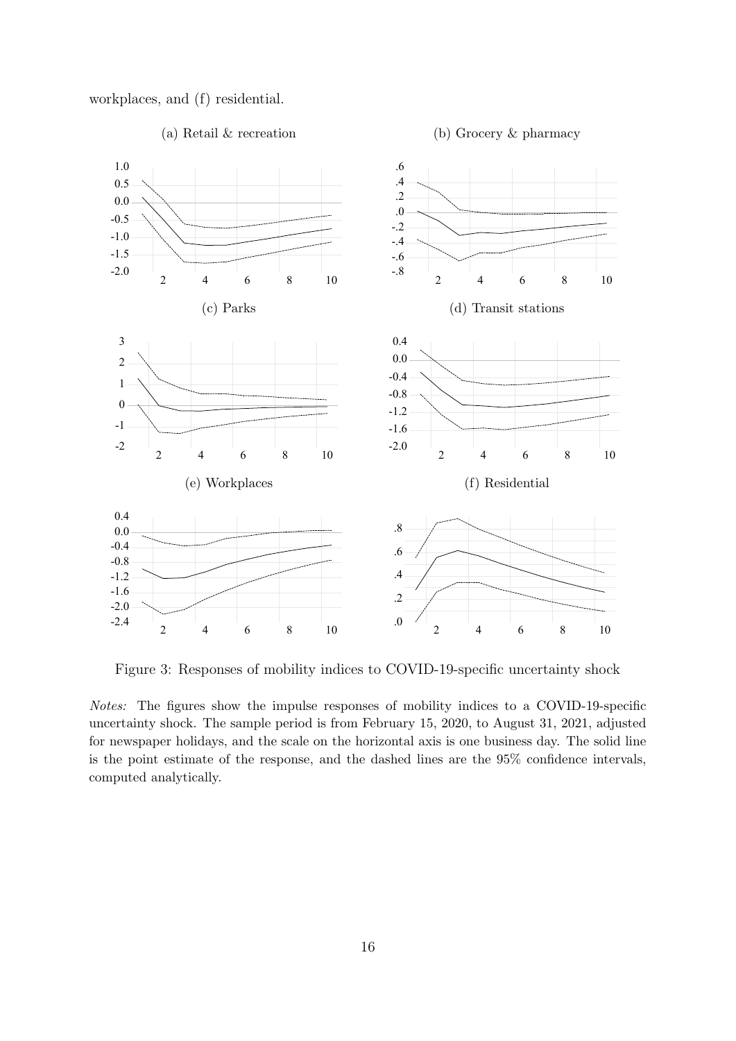

<span id="page-16-0"></span>

Figure 3: Responses of mobility indices to COVID-19-specific uncertainty shock

*Notes:* The figures show the impulse responses of mobility indices to a COVID-19-specific uncertainty shock. The sample period is from February 15, 2020, to August 31, 2021, adjusted for newspaper holidays, and the scale on the horizontal axis is one business day. The solid line is the point estimate of the response, and the dashed lines are the 95% confidence intervals, computed analytically.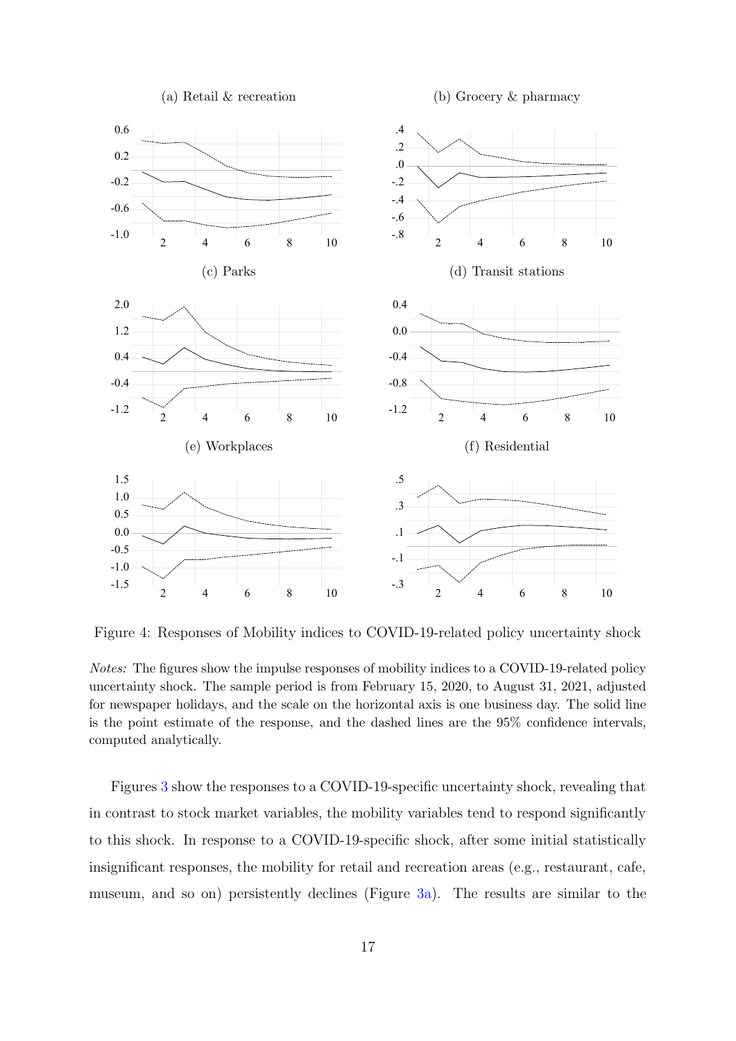<span id="page-17-0"></span>

Figure 4: Responses of Mobility indices to COVID-19-related policy uncertainty shock

*Notes:* The figures show the impulse responses of mobility indices to a COVID-19-related policy uncertainty shock. The sample period is from February 15, 2020, to August 31, 2021, adjusted for newspaper holidays, and the scale on the horizontal axis is one business day. The solid line is the point estimate of the response, and the dashed lines are the 95% confidence intervals, computed analytically.

Figures [3](#page-16-0) show the responses to a COVID-19-specific uncertainty shock, revealing that in contrast to stock market variables, the mobility variables tend to respond significantly to this shock. In response to a COVID-19-specific shock, after some initial statistically insignificant responses, the mobility for retail and recreation areas (e.g., restaurant, cafe, museum, and so on) persistently declines (Figure [3a](#page-16-0)). The results are similar to the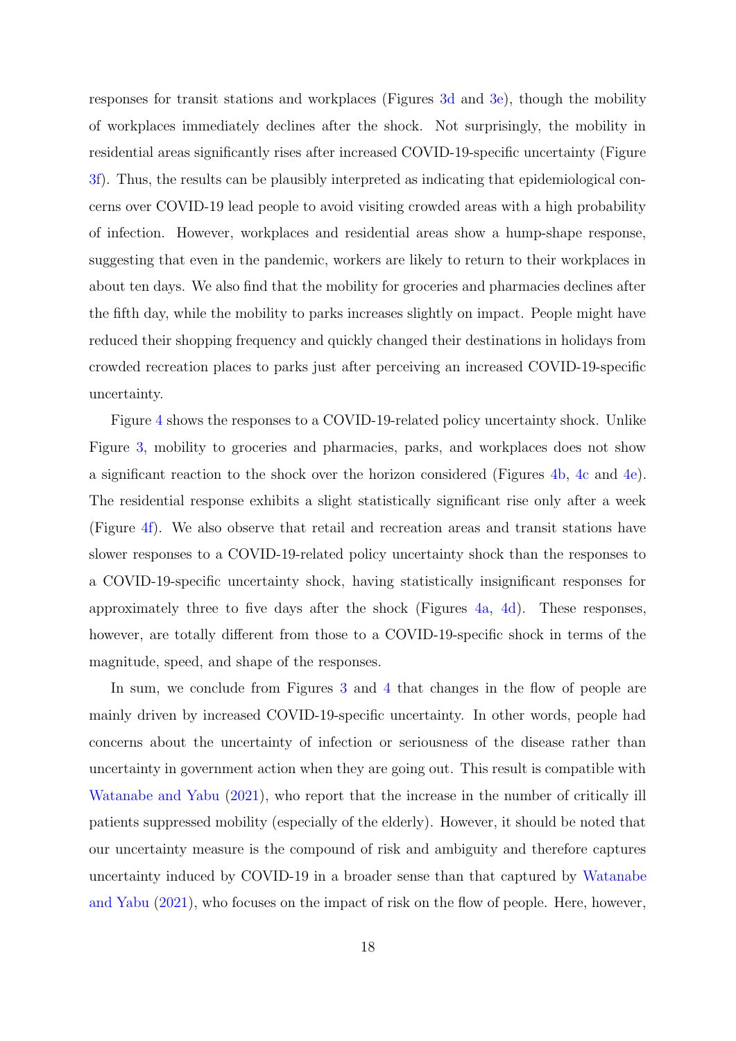responses for transit stations and workplaces (Figures [3d](#page-16-0) and [3e](#page-16-0)), though the mobility of workplaces immediately declines after the shock. Not surprisingly, the mobility in residential areas significantly rises after increased COVID-19-specific uncertainty (Figure [3f](#page-16-0)). Thus, the results can be plausibly interpreted as indicating that epidemiological concerns over COVID-19 lead people to avoid visiting crowded areas with a high probability of infection. However, workplaces and residential areas show a hump-shape response, suggesting that even in the pandemic, workers are likely to return to their workplaces in about ten days. We also find that the mobility for groceries and pharmacies declines after the fifth day, while the mobility to parks increases slightly on impact. People might have reduced their shopping frequency and quickly changed their destinations in holidays from crowded recreation places to parks just after perceiving an increased COVID-19-specific uncertainty.

Figure [4](#page-17-0) shows the responses to a COVID-19-related policy uncertainty shock. Unlike Figure [3](#page-16-0), mobility to groceries and pharmacies, parks, and workplaces does not show a significant reaction to the shock over the horizon considered (Figures [4b,](#page-17-0) [4c](#page-17-0) and [4e](#page-17-0)). The residential response exhibits a slight statistically significant rise only after a week (Figure [4f\)](#page-17-0). We also observe that retail and recreation areas and transit stations have slower responses to a COVID-19-related policy uncertainty shock than the responses to a COVID-19-specific uncertainty shock, having statistically insignificant responses for approximately three to five days after the shock (Figures [4a,](#page-17-0) [4d\)](#page-17-0). These responses, however, are totally different from those to a COVID-19-specific shock in terms of the magnitude, speed, and shape of the responses.

In sum, we conclude from Figures [3](#page-16-0) and [4](#page-17-0) that changes in the flow of people are mainly driven by increased COVID-19-specific uncertainty. In other words, people had concerns about the uncertainty of infection or seriousness of the disease rather than uncertainty in government action when they are going out. This result is compatible with [Watanabe and Yabu](#page-24-9) [\(2021\)](#page-24-9), who report that the increase in the number of critically ill patients suppressed mobility (especially of the elderly). However, it should be noted that our uncertainty measure is the compound of risk and ambiguity and therefore captures uncertainty induced by COVID-19 in a broader sense than that captured by [Watanabe](#page-24-9) [and Yabu](#page-24-9) ([2021](#page-24-9)), who focuses on the impact of risk on the flow of people. Here, however,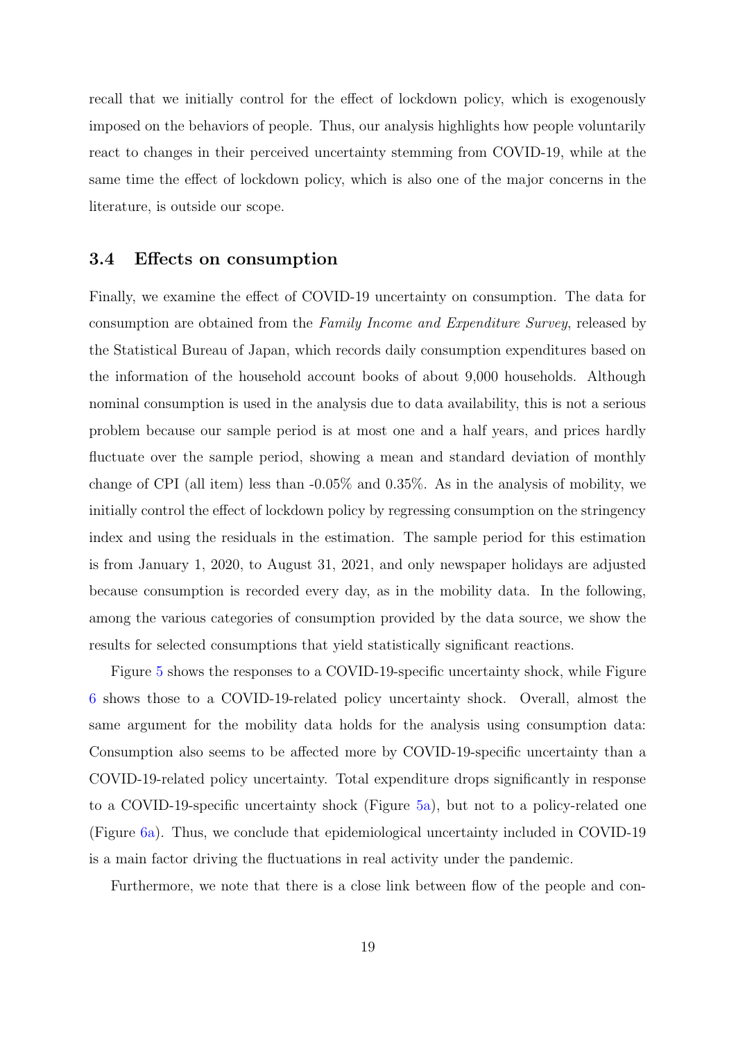recall that we initially control for the effect of lockdown policy, which is exogenously imposed on the behaviors of people. Thus, our analysis highlights how people voluntarily react to changes in their perceived uncertainty stemming from COVID-19, while at the same time the effect of lockdown policy, which is also one of the major concerns in the literature, is outside our scope.

#### **3.4 Effects on consumption**

Finally, we examine the effect of COVID-19 uncertainty on consumption. The data for consumption are obtained from the *Family Income and Expenditure Survey*, released by the Statistical Bureau of Japan, which records daily consumption expenditures based on the information of the household account books of about 9,000 households. Although nominal consumption is used in the analysis due to data availability, this is not a serious problem because our sample period is at most one and a half years, and prices hardly fluctuate over the sample period, showing a mean and standard deviation of monthly change of CPI (all item) less than -0.05% and 0.35%. As in the analysis of mobility, we initially control the effect of lockdown policy by regressing consumption on the stringency index and using the residuals in the estimation. The sample period for this estimation is from January 1, 2020, to August 31, 2021, and only newspaper holidays are adjusted because consumption is recorded every day, as in the mobility data. In the following, among the various categories of consumption provided by the data source, we show the results for selected consumptions that yield statistically significant reactions.

Figure [5](#page-21-0) shows the responses to a COVID-19-specific uncertainty shock, while Figure [6](#page-22-1) shows those to a COVID-19-related policy uncertainty shock. Overall, almost the same argument for the mobility data holds for the analysis using consumption data: Consumption also seems to be affected more by COVID-19-specific uncertainty than a COVID-19-related policy uncertainty. Total expenditure drops significantly in response to a COVID-19-specific uncertainty shock (Figure [5a](#page-21-0)), but not to a policy-related one (Figure [6a](#page-22-1)). Thus, we conclude that epidemiological uncertainty included in COVID-19 is a main factor driving the fluctuations in real activity under the pandemic.

Furthermore, we note that there is a close link between flow of the people and con-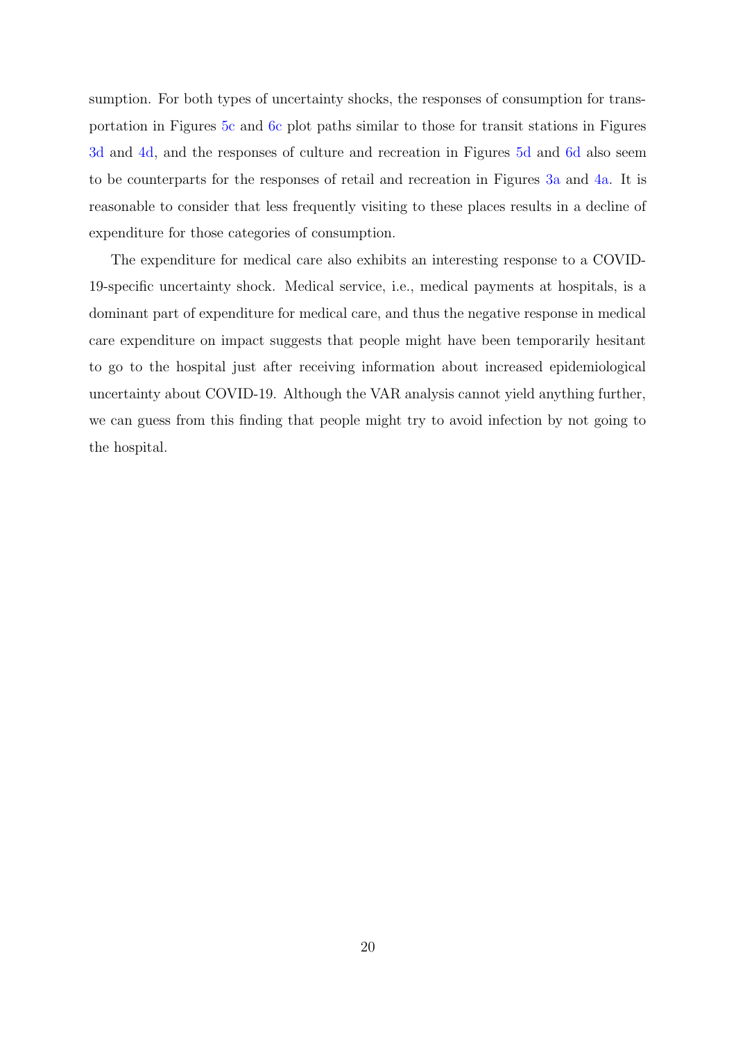sumption. For both types of uncertainty shocks, the responses of consumption for transportation in Figures [5c](#page-21-0) and [6c](#page-22-1) plot paths similar to those for transit stations in Figures [3d](#page-16-0) and [4d](#page-17-0), and the responses of culture and recreation in Figures [5d](#page-21-0) and [6d](#page-22-1) also seem to be counterparts for the responses of retail and recreation in Figures [3a](#page-16-0) and [4a.](#page-17-0) It is reasonable to consider that less frequently visiting to these places results in a decline of expenditure for those categories of consumption.

The expenditure for medical care also exhibits an interesting response to a COVID-19-specific uncertainty shock. Medical service, i.e., medical payments at hospitals, is a dominant part of expenditure for medical care, and thus the negative response in medical care expenditure on impact suggests that people might have been temporarily hesitant to go to the hospital just after receiving information about increased epidemiological uncertainty about COVID-19. Although the VAR analysis cannot yield anything further, we can guess from this finding that people might try to avoid infection by not going to the hospital.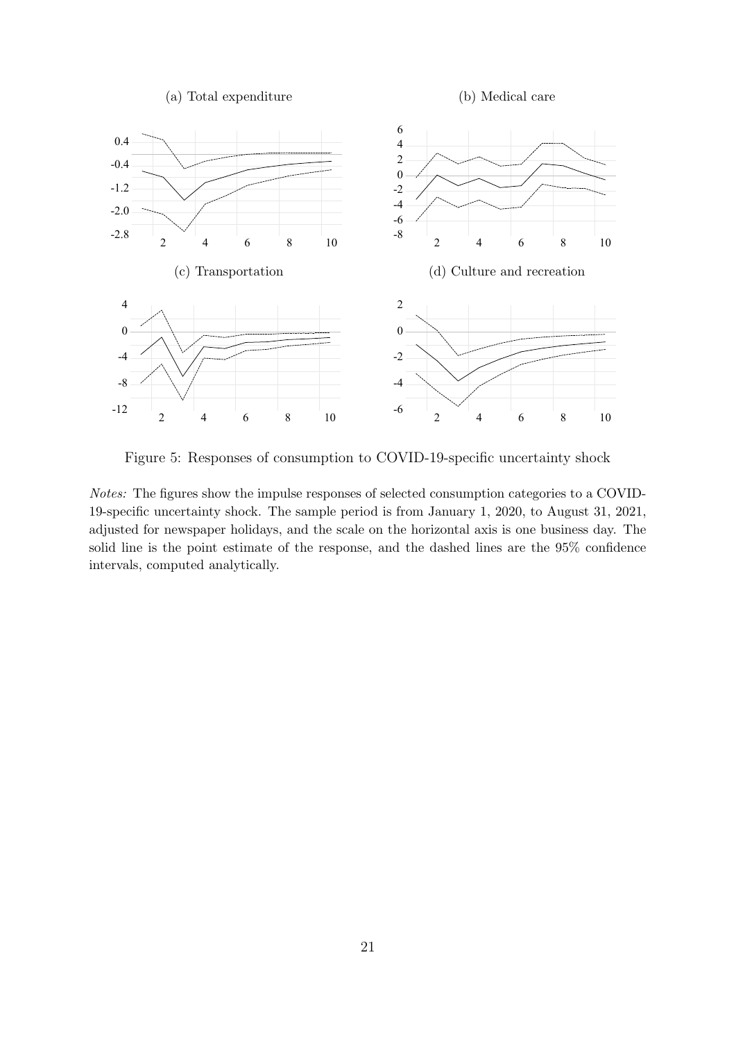<span id="page-21-0"></span>

Figure 5: Responses of consumption to COVID-19-specific uncertainty shock

*Notes:* The figures show the impulse responses of selected consumption categories to a COVID-19-specific uncertainty shock. The sample period is from January 1, 2020, to August 31, 2021, adjusted for newspaper holidays, and the scale on the horizontal axis is one business day. The solid line is the point estimate of the response, and the dashed lines are the 95% confidence intervals, computed analytically.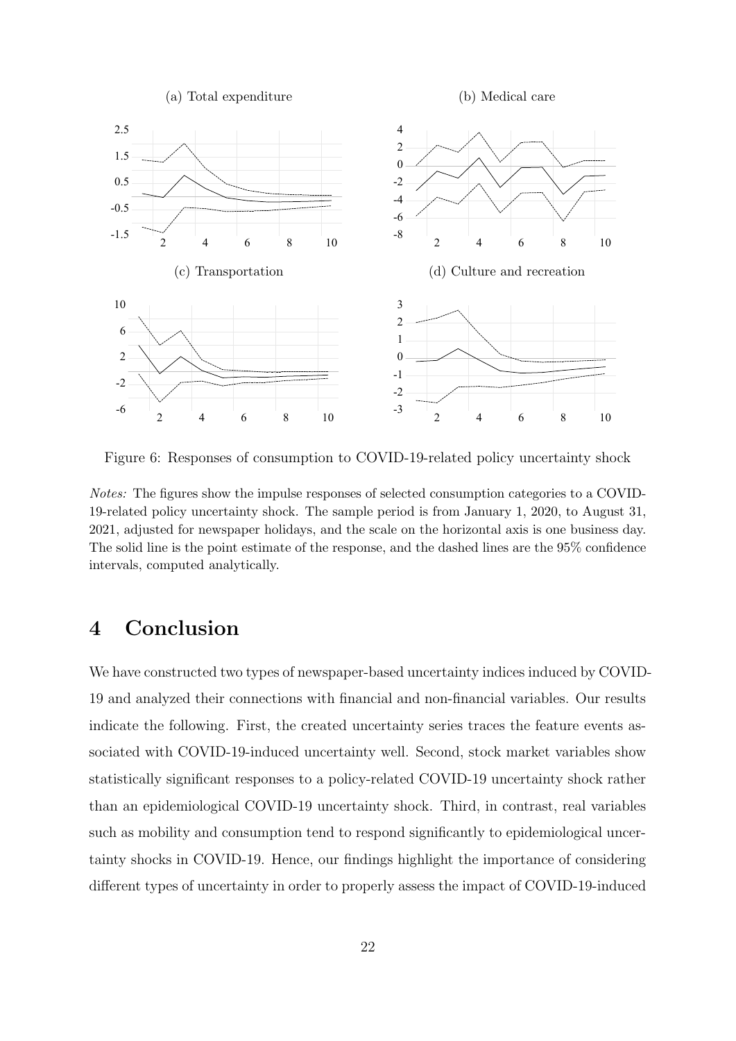<span id="page-22-1"></span>

Figure 6: Responses of consumption to COVID-19-related policy uncertainty shock

*Notes:* The figures show the impulse responses of selected consumption categories to a COVID-19-related policy uncertainty shock. The sample period is from January 1, 2020, to August 31, 2021, adjusted for newspaper holidays, and the scale on the horizontal axis is one business day. The solid line is the point estimate of the response, and the dashed lines are the 95% confidence intervals, computed analytically.

# <span id="page-22-0"></span>**4 Conclusion**

We have constructed two types of newspaper-based uncertainty indices induced by COVID-19 and analyzed their connections with financial and non-financial variables. Our results indicate the following. First, the created uncertainty series traces the feature events associated with COVID-19-induced uncertainty well. Second, stock market variables show statistically significant responses to a policy-related COVID-19 uncertainty shock rather than an epidemiological COVID-19 uncertainty shock. Third, in contrast, real variables such as mobility and consumption tend to respond significantly to epidemiological uncertainty shocks in COVID-19. Hence, our findings highlight the importance of considering different types of uncertainty in order to properly assess the impact of COVID-19-induced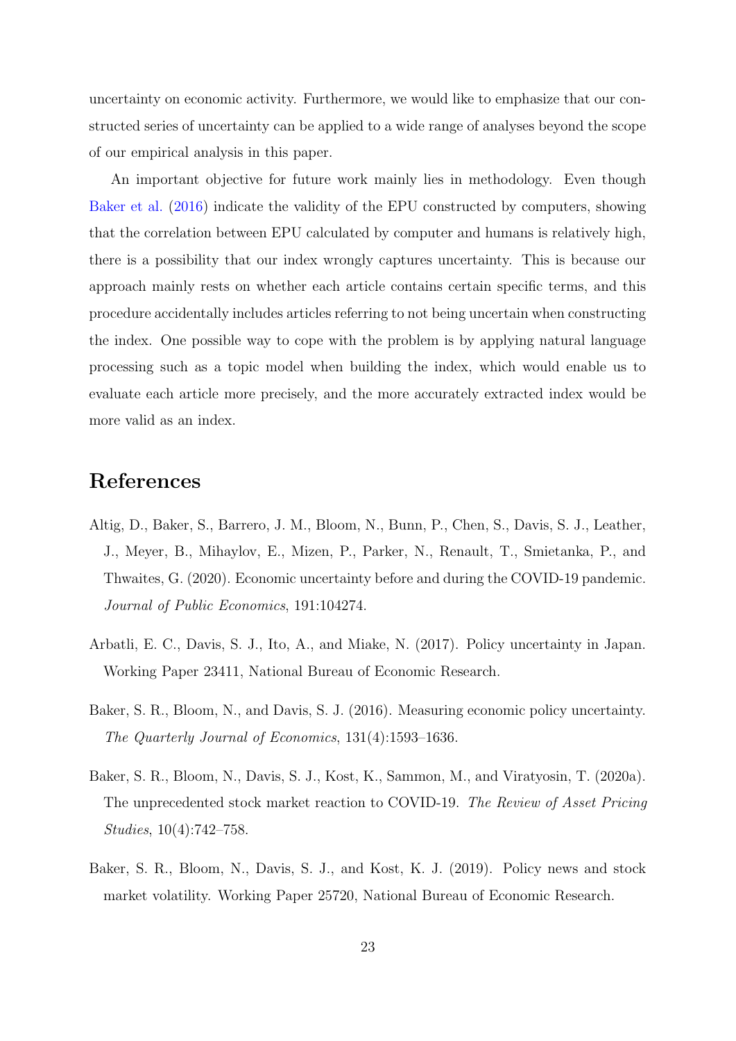uncertainty on economic activity. Furthermore, we would like to emphasize that our constructed series of uncertainty can be applied to a wide range of analyses beyond the scope of our empirical analysis in this paper.

An important objective for future work mainly lies in methodology. Even though [Baker et al.](#page-23-0) ([2016](#page-23-0)) indicate the validity of the EPU constructed by computers, showing that the correlation between EPU calculated by computer and humans is relatively high, there is a possibility that our index wrongly captures uncertainty. This is because our approach mainly rests on whether each article contains certain specific terms, and this procedure accidentally includes articles referring to not being uncertain when constructing the index. One possible way to cope with the problem is by applying natural language processing such as a topic model when building the index, which would enable us to evaluate each article more precisely, and the more accurately extracted index would be more valid as an index.

# **References**

- <span id="page-23-2"></span>Altig, D., Baker, S., Barrero, J. M., Bloom, N., Bunn, P., Chen, S., Davis, S. J., Leather, J., Meyer, B., Mihaylov, E., Mizen, P., Parker, N., Renault, T., Smietanka, P., and Thwaites, G. (2020). Economic uncertainty before and during the COVID-19 pandemic. *Journal of Public Economics*, 191:104274.
- <span id="page-23-3"></span>Arbatli, E. C., Davis, S. J., Ito, A., and Miake, N. (2017). Policy uncertainty in Japan. Working Paper 23411, National Bureau of Economic Research.
- <span id="page-23-0"></span>Baker, S. R., Bloom, N., and Davis, S. J. (2016). Measuring economic policy uncertainty. *The Quarterly Journal of Economics*, 131(4):1593–1636.
- <span id="page-23-1"></span>Baker, S. R., Bloom, N., Davis, S. J., Kost, K., Sammon, M., and Viratyosin, T. (2020a). The unprecedented stock market reaction to COVID-19. *The Review of Asset Pricing Studies*, 10(4):742–758.
- <span id="page-23-4"></span>Baker, S. R., Bloom, N., Davis, S. J., and Kost, K. J. (2019). Policy news and stock market volatility. Working Paper 25720, National Bureau of Economic Research.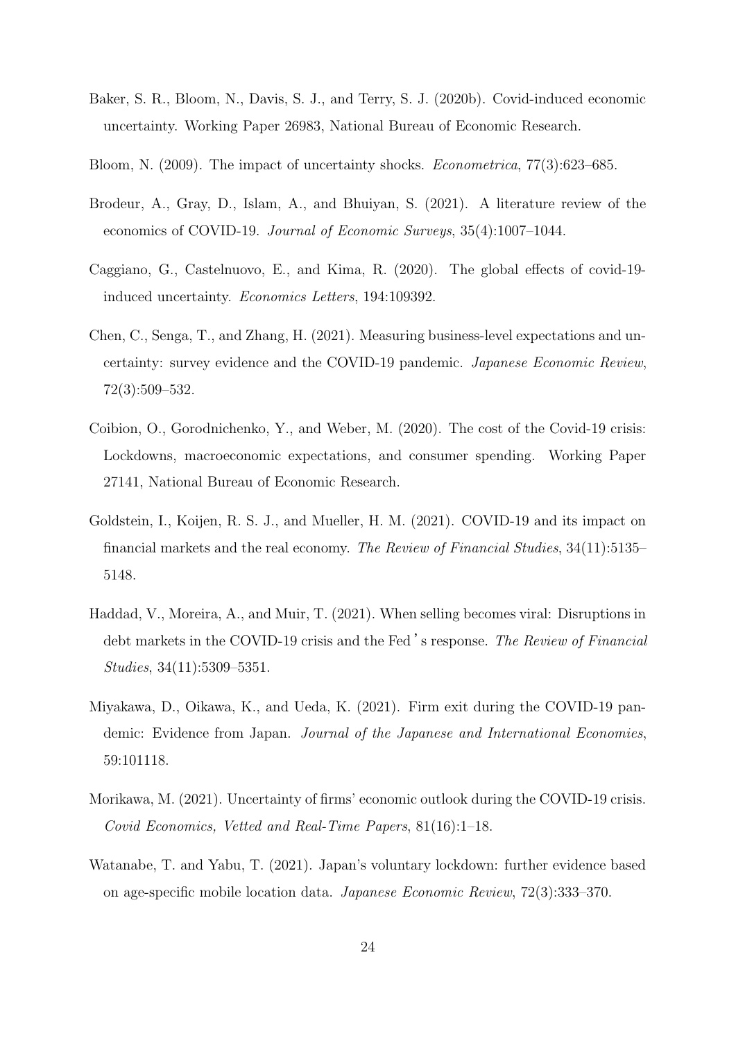- <span id="page-24-2"></span>Baker, S. R., Bloom, N., Davis, S. J., and Terry, S. J. (2020b). Covid-induced economic uncertainty. Working Paper 26983, National Bureau of Economic Research.
- <span id="page-24-0"></span>Bloom, N. (2009). The impact of uncertainty shocks. *Econometrica*, 77(3):623–685.
- <span id="page-24-6"></span>Brodeur, A., Gray, D., Islam, A., and Bhuiyan, S. (2021). A literature review of the economics of COVID-19. *Journal of Economic Surveys*, 35(4):1007–1044.
- <span id="page-24-5"></span>Caggiano, G., Castelnuovo, E., and Kima, R. (2020). The global effects of covid-19 induced uncertainty. *Economics Letters*, 194:109392.
- <span id="page-24-3"></span>Chen, C., Senga, T., and Zhang, H. (2021). Measuring business-level expectations and uncertainty: survey evidence and the COVID-19 pandemic. *Japanese Economic Review*, 72(3):509–532.
- <span id="page-24-8"></span>Coibion, O., Gorodnichenko, Y., and Weber, M. (2020). The cost of the Covid-19 crisis: Lockdowns, macroeconomic expectations, and consumer spending. Working Paper 27141, National Bureau of Economic Research.
- <span id="page-24-7"></span>Goldstein, I., Koijen, R. S. J., and Mueller, H. M. (2021). COVID-19 and its impact on financial markets and the real economy. *The Review of Financial Studies*, 34(11):5135– 5148.
- <span id="page-24-10"></span>Haddad, V., Moreira, A., and Muir, T. (2021). When selling becomes viral: Disruptions in debt markets in the COVID-19 crisis and the Fed 's response. *The Review of Financial Studies*, 34(11):5309–5351.
- <span id="page-24-1"></span>Miyakawa, D., Oikawa, K., and Ueda, K. (2021). Firm exit during the COVID-19 pandemic: Evidence from Japan. *Journal of the Japanese and International Economies*, 59:101118.
- <span id="page-24-4"></span>Morikawa, M. (2021). Uncertainty of firms' economic outlook during the COVID-19 crisis. *Covid Economics, Vetted and Real-Time Papers*, 81(16):1–18.
- <span id="page-24-9"></span>Watanabe, T. and Yabu, T. (2021). Japan's voluntary lockdown: further evidence based on age-specific mobile location data. *Japanese Economic Review*, 72(3):333–370.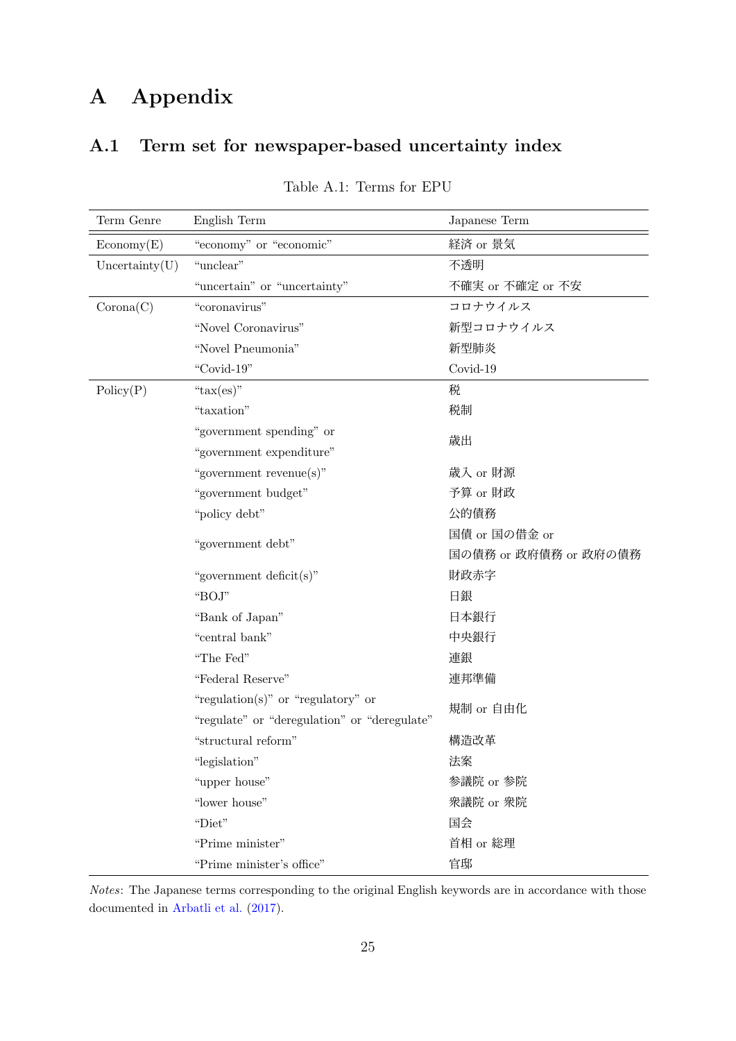# **A Appendix**

# <span id="page-25-0"></span>**A.1 Term set for newspaper-based uncertainty index**

| Term Genre             | English Term                                 | Japanese Term         |  |
|------------------------|----------------------------------------------|-----------------------|--|
| $E_{\text{conomy}}(E)$ | "economy" or "economic"                      | 経済 or 景気              |  |
| Uncertainty(U)         | "unclear"                                    | 不透明                   |  |
|                        | "uncertain" or "uncertainty"                 | 不確実 or 不確定 or 不安      |  |
| Corona(C)              | "coronavirus"                                | コロナウイルス               |  |
|                        | "Novel Coronavirus"                          | 新型コロナウイルス             |  |
|                        | "Novel Pneumonia"                            | 新型肺炎                  |  |
|                        | "Covid-19"                                   | Covid-19              |  |
| Policy(P)              | " $\text{tax}(\text{es})$ "                  | 税                     |  |
|                        | "taxation"                                   | 税制                    |  |
|                        | "government spending" or                     | 歳出                    |  |
|                        | "government expenditure"                     |                       |  |
|                        | "government revenue(s)"                      | 歳入 or 財源              |  |
|                        | "government budget"                          | 予算 or 財政              |  |
|                        | "policy debt"                                | 公的債務                  |  |
|                        | "government debt"                            | 国債 or 国の借金 or         |  |
|                        |                                              | 国の債務 or 政府債務 or 政府の債務 |  |
|                        | "government deficit(s)"                      | 財政赤字                  |  |
|                        | "BOJ"                                        | 日銀                    |  |
|                        | "Bank of Japan"                              | 日本銀行                  |  |
|                        | "central bank"                               | 中央銀行                  |  |
|                        | "The Fed"                                    | 連銀                    |  |
|                        | "Federal Reserve"                            | 連邦準備                  |  |
|                        | "regulation(s)" or "regulatory" or           | 規制 or 自由化             |  |
|                        | "regulate" or "deregulation" or "deregulate" |                       |  |
|                        | "structural reform"                          | 構造改革                  |  |
|                        | "legislation"                                | 法案                    |  |
|                        | "upper house"                                | 参議院 or 参院             |  |
|                        | "lower house"                                | 衆議院 or 衆院             |  |
|                        | "Diet"                                       | 国会                    |  |
|                        | "Prime minister"                             | 首相 or 総理              |  |
|                        | "Prime minister's office"                    | 官邸                    |  |

### Table A.1: Terms for EPU

*Notes*: The Japanese terms corresponding to the original English keywords are in accordance with those documented in [Arbatli et al.](#page-23-3) [\(2017](#page-23-3)).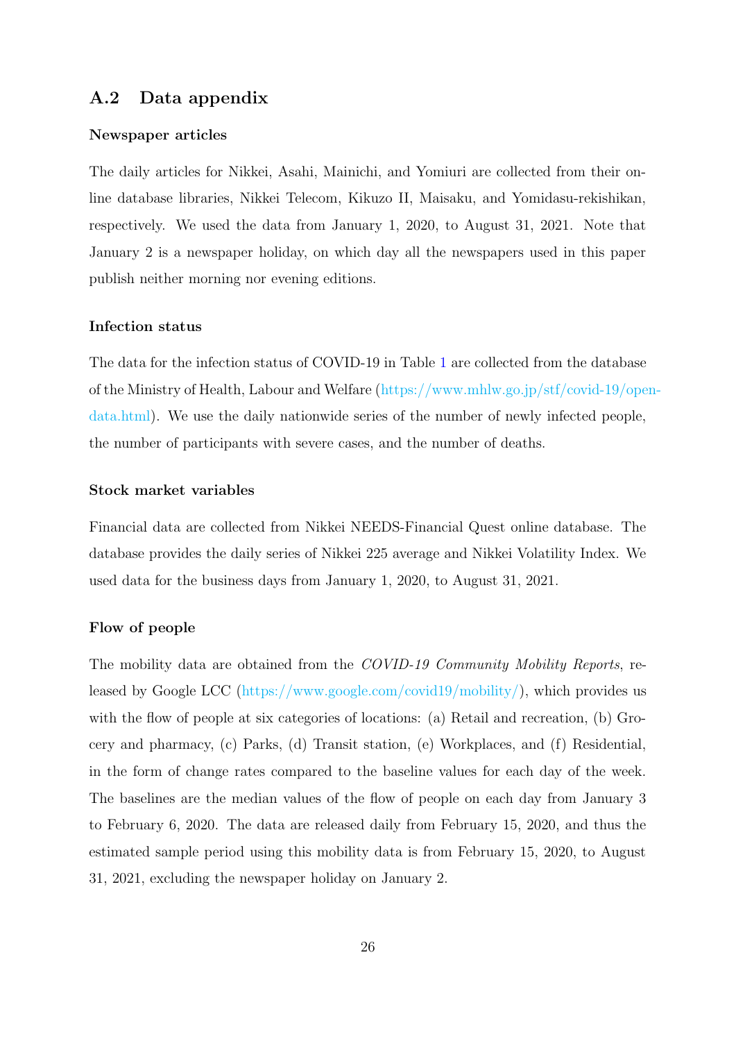### <span id="page-26-0"></span>**A.2 Data appendix**

#### **Newspaper articles**

The daily articles for Nikkei, Asahi, Mainichi, and Yomiuri are collected from their online database libraries, Nikkei Telecom, Kikuzo II, Maisaku, and Yomidasu-rekishikan, respectively. We used the data from January 1, 2020, to August 31, 2021. Note that January 2 is a newspaper holiday, on which day all the newspapers used in this paper publish neither morning nor evening editions.

#### **Infection status**

The data for the infection status of COVID-19 in Table [1](#page-11-0) are collected from the database of the Ministry of Health, Labour and Welfare ([https://www.mhlw.go.jp/stf/covid-19/open](https://www.mhlw.go.jp/stf/covid-19/open-data.html)[data.html\)](https://www.mhlw.go.jp/stf/covid-19/open-data.html). We use the daily nationwide series of the number of newly infected people, the number of participants with severe cases, and the number of deaths.

#### **Stock market variables**

Financial data are collected from Nikkei NEEDS-Financial Quest online database. The database provides the daily series of Nikkei 225 average and Nikkei Volatility Index. We used data for the business days from January 1, 2020, to August 31, 2021.

#### **Flow of people**

The mobility data are obtained from the *COVID-19 Community Mobility Reports*, released by Google LCC (<https://www.google.com/covid19/mobility/>), which provides us with the flow of people at six categories of locations: (a) Retail and recreation, (b) Grocery and pharmacy, (c) Parks, (d) Transit station, (e) Workplaces, and (f) Residential, in the form of change rates compared to the baseline values for each day of the week. The baselines are the median values of the flow of people on each day from January 3 to February 6, 2020. The data are released daily from February 15, 2020, and thus the estimated sample period using this mobility data is from February 15, 2020, to August 31, 2021, excluding the newspaper holiday on January 2.